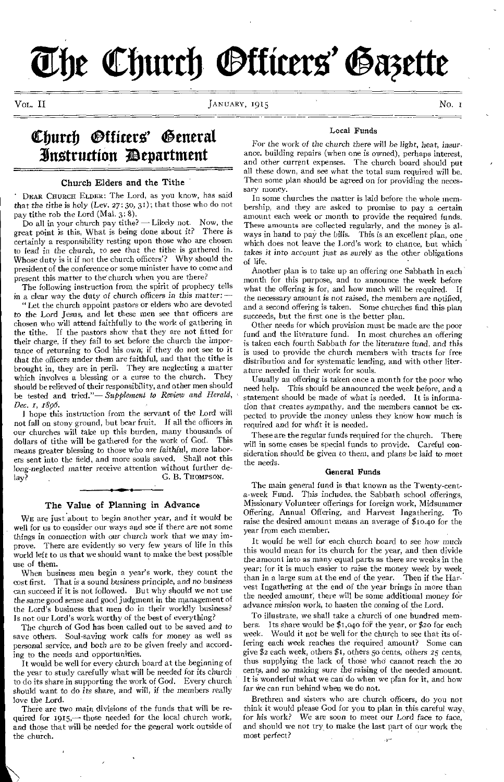# **a (barb Mato' wag**

JANUARY, 1915

## Church *Officers'* General 3instruction ;Department

#### Church Elders and the Tithe

DEAR CHURCH ELDER: The Lord, as you know, has said that the tithe *is* holy (Lev. 27: 30, 31); that those who do not pay tithe rob the Lord (Mal. 3: 8).

Do all in your church pay tithe? — Likely not. Now, the great point is this, What is being done about it? There *is*  certainly a responsibility resting upon those who are chosen to lead in the church, to see that the tithe is gathered in. Whose duty is it if not the church officers'? Why should the president of the conference or some minister have to come and present this matter to the' church when you are there?

The following instruction from the spirit of prophecy tells in a clear way the duty of church officers in this matter:

"Let the church appoint pastors or elders who are devoted to the Lord Jesus, and let these men see that officers are chosen who will attend faithfully to the work of gathering in the tithe. If the pastors show that they are not fitted for their charge, if they fail to set before the church the importance of returning to God his own; if they do not see to it that the *officers* under them are faithful, and that the tithe is brought in, they are in peril. They are neglecting a matter which involves a blessing or a curse to the church. They should be relieved of their responsibility, and other men should be tested and tried."— *Supplement to Review and Herald, Dec. 1, T896.* 

I hope this instruction from the servant of the Lord will not fall on stony ground, but bear fruit. If all the officers in our churches will take up this burden, many thousands of dollars of tithe will be gathered for the work of God. This means greater blessing to those who are faithful, more laborers sent into the field, and more souls saved. Shall not this *long-neglected matter receive attention without further de-lay?* G. B. THOMPSON. G. B. Thompson.

#### The Value of Planning in Advance

WE are just about to begin another year, and it would be well for us to consider our ways and see if there are not some things in connection with *our* church work that we may improve. There are evidently so very few years of life in this world left to us that we should want to make the best possible use of them.

When business men begin a year's work, they count the cost first. That is a sound business principle, and no *business*  can succeed if it is not followed. But why should we not use the same good sense and good judgment in the management of the Lord's business that men do in their worldly business? Is not our Lord's work worthy of the best of everything?

The church of God has been called out to be saved and to save others. Soul-saving work calls for money as well as personal service, and both are to be given freely and according to the needs and opportunities.

It would be well for every church board at the beginning of the year to study carefully what will be needed for its church to do its share in supporting the work of God. Every church should want to do its share, and will, *if* the members really love the Lord.

There are two main divisions of the funds that will be required for 1915,- those needed for the local church work, and those that will be needed for the general work outside of the church.

#### Local Funds

For the work *of* the church there will be light, heat, insurance. building repairs (when one is owned), perhaps interest, and other current expenses. The church board should put all these down, and see what the total sum required will be. Then some plan should be agreed on for providing the necessary money.

In some churches the matter is laid before the whole membership, and they are asked to promise to pay a certain amount each week or month to provide the required funds. These amounts are collected regularly, and the money is al-<br>ways in hand to pay the bills. This is an excellent plan, one ways in hand to pay the bills. which does not leave the Lord's work to chance, but which takes it into account just as surely as the other obligations of life.

Another plan is to take up an offering one Sabbath in each month for this purpose, and to announce the week before what the offering is for, and how much will be required. If the necessary *amount is not* raised, the members are notified, and a second offering is taken, Some churches find this plan succeeds, but the first one is the better plan.

Other needs for which provision must be made are the poor fund and the literature fund. In most churches an offering is taken each fourth Sabbath for the literature fund, and this is used to provide the church members with tracts for free distribution and for systematic lending, and with other literature needed in their work for souls.

Usually an offering is taken once a month for the poor who need help. This should be announced the week before, and a statement should be made of what is needed. It is information that creates sympathy, and the members cannot be expected to provide the money unless they know how much is required and for whdt it is needed.

These are the regular funds required for the church. There will in some cases be special funds to provide. Careful consideration should be given to them, and plans be laid to meet the needs.

#### General Funds

The main general fund is that known as the Twenty-centa-week Fund. This includes, the Sabbath school offerings, Missionary Volunteer offerings for foreign work, Midsummer Offering, Annual Offering, and Harvest Ingathering. To raise the desired amount means an average of \$10.40 for the year from each member.

It would be well for each church board to see how much this would mean for its church for the year, and then divide the amount into as many equal parts as there are weeks in the year; for it is much easier to raise the money week by week, than in a large sum at the end of the year. Then if the Harvest Ingathering at the end of the year brings in more than the needed amount, there will be some additional money for advance *mission* work, to hasten the coming of the Lord.

To illustrate, we shall take a church of one hundred members. Its share would be \$1,040 for the year, or \$20 for each week. Would it not be well for the church to see that its offering each week reaches the required amount? Some can give \$2 each week, others \$1, others 50 cents, others 25 cents, thus supplying the lack of those who cannot reach the 20 cents, and so making sure the raising of the needed amount. It is wonderful what we can do when we plan for it, and how far we can run behind when we do not.

Brethren and sisters who are church officers, do you not think it would please God for you to plan in this careful way, for his work? We are soon to meet our Lord face to face, and should we not try to make the last part of our work the most perfect?  $\mathbf{H}$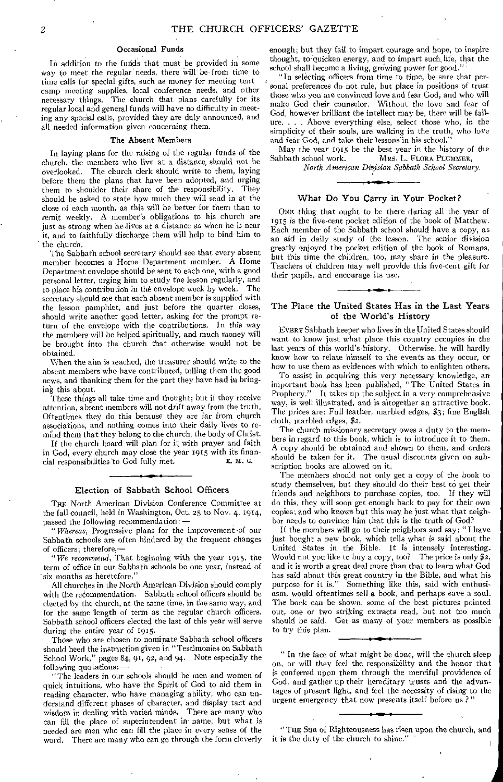#### Occasional Funds

In addition to the funds that must be provided in some way to meet the regular needs, there will be- from time to time calls for special gifts, such as money for meeting tent camp meeting supplies, local conference needs, and other necessary things. The church that plans carefully for its regular local and general funds will have no difficulty in meeting any special calls, provided they are duly announced, and all needed information given concerning them.

#### The Absent Members

In laying plans for the raising of the regular funds of the church, the members who live at a distance, should not be overlooked. The church clerk should write to them, laying before them the plans that have been adopted, and urging them to shoulder their share of the responsibility. They should be asked to state how much they will send in at the close of each month, as this will be better for them than to remit weekly. A member's obligations to his church are just as strong when he lives at a distance as when he is near it, and to faithfully discharge them will help to bind him to the church.

The Sabbath school secretary should see that every absent member becomes a Home Department member. A Home Department envelope should be sent to each one, with a good personal letter, urging him to study the lesson regularly, and to place his contribution in the envelope week by week. The secretary should see that each absent member is supplied with the lesson pamphlet, and just before the quarter closes, should write another good letter, asking for the prompt return of the envelope with the contributions. In this way the members will be helped spiritually, and much money will be brought into the church that otherwise would not be obtained.

When the aim is reached, the treasurer should write to the absent members who have contributed, telling them the good news, and thanking them for the part they have had in bringing this about.

These things all take time and thought; but if they receive attention, absent members will not drift away from the truth. Oftentimes they do this because they are far from church associations, and nothing comes into their daily lives to remihd them that they belong to the church, the body of Christ.

If the church board will plan for it with prayer and faith in God, every church may close the year 1915 with its finan-<br>cial responsibilities to God fully met.<br> $E$ ,  $M$ ,  $G$ , cial responsibilities to God fully met.

#### Election of Sabbath School Officers

THE North American Division Conference Committee at the fall council, held in Washington, Oct. 25 to Nov. 4, 1914, passed the following recommendation:

" *Whereas,* Progressive plans for the improvement of our Sabbath schools are often hindered by the frequent changes of officers; therefore,—

"We *recommend,* That beginning with the year 1915, the term of office in our Sabbath schools be one year, instead of 'six months as heretofore."

All churches in the North American Division should comply with the recommendation. Sabbath school officers should be elected by the church, at the same time, in the same way, and for the same 'length of term as the regular church officers. Sabbath school officers elected the last of this year will serve during the entire year of 1915.

Those who are chosen to nominate Sabbath school officers should heed the instruction given in "Testimonies on Sabbath School Work," pages 84, 91, 92, and 94. Note especially the following quotations: —

"The leaders in our schools should be men and women of quick intuitions, who have the Spirit of God to aid them in reading character, who have managing ability, who can understand different phases of character, and display tact and wisdom in dealing with varied minds. There are many who can fill the place of superintendent in name, but what is needed are men who can fill the place in every sense of the word. There are many who can go through the form cleverly

enough; but they fail to impart courage and hope, to inspire thought, to quicken energy, and to impart such, life, that the school shall become a living, growing power for good.

"In selecting officers from time to time, be sure that personal preferences do not rule, but place in positions of trust those who you are convinced love and fear God, and who will make God their counselor. Without the love and fear of God, however brilliant the intellect may be, there will be failure. . . . Above everything else, select those who, in the simplicity of their souls, are walking in the truth, who love and fear God, and take their lessons in his school."

May the year 1915 be the best year in the history of the Sabbath school work. MRS. L. FLORA PLUMMER, *North American Division Sabbath School Secretary.* 

#### What Do You Carry in Your Pocket?

ONE thing that ought to be there during all the year of 1915 is the five-cent pocket edition of the book of Matthew. Each member of the Sabbath school should have a copy, as an aid in daily study of the lesson. The senior division greatly enjoyed the pocket edition of the book of Romans, but this time the children, too, may share in the pleasure. Teachers of children may well provide this five-cent gift for their pupils, and encourage its use.

#### The Place the United States Has in the Last Years of the World's History

EVERY Sabbath keeper who lives in the United States should want to know just what place this country occupies in the last years of this world's history. Otherwise, he will hardly know how to relate himself to the events as they occur, or how to use them as evidences with which to enlighten others,

To assist in acquiring this very necessary knowledge, an important book has been published, "The United States in Prophecy." It takes up the subject in a very comprehensive way, is well illustrated, and is altogether an attractive book. The prices are: Full leather, marbled edges, \$3; fine English cloth, marbled edges, \$2.

The church missionary secretary owes a duty to the members in regard to this book, which is to introduce it to them. A copy should be obtained and shown to them, and orders should be taken for it. The usual discounts given on subscription books are allowed on it.

The members should not only get a copy of the book to study themselves, but they should do their best to get their friends and neighbors to purchase copies, too. If they will do this, they will soon get enough back to pay for their own copies; and who knows but this may be just what that neighbor needs to convince him that this is the truth of God?

If the members will go to their neighbors and say: "I have just bought a new book, which tells what is said about the United States in the Bible. It is intensely interesting. Would not you like to buy a copy, too? The price is only  $\frac{2}{3}2$ , and it is worth a great deal more than that to learn what God has said about this great country in the Bible, and what his purpose for it is." Something like this, said with enthusiasm, would oftentimes sell a book, and perhaps save a soul. The book can be shown, some of the best pictures pointed out, one or two striking extracts read, but not too much should be said. Get as many of your members as possible to try this plan.

" In the face of what might be done, will the church sleep on, or will they feel the responsibility and the honor that is conferred upon them through the merciful providence of God, and gather up their hereditary trusts and the advantages of present light, and feel the necessity of rising to the urgent emergency that now presents itself before us?

"THE Sun of Righteousness has risen upon the church, and it is the duty of the church to shine."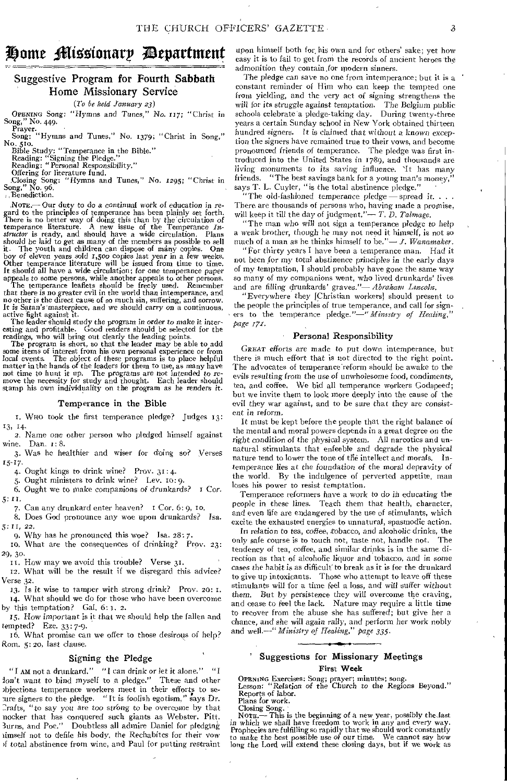## Home Missionary Department

#### Suggestive Program for Fourth Sabbath Home Missionary Service

*(To be held January 23)* 

OPENING Song: "Hymns and *Tunes," No.* 117; "Christ in Song," No. 449.

Prayer.<br>
Song: "Hymns and Tunes," No. 1379; "Christ in Song,"<br>No. 510. Bible Study: "Temperance in the Bible."

Reading: "Signing the Pledge." Reading: *"Personal Responsibility."* 

Offering for literature fund. Closing Song: "Hymns and Tunes," No. *1295;* ''Christ *in*  Song," No. 96.

Benediction.

% Nam- Our duty to do *a continual work* of education in regard to the principles of temperance has been plainly set forth. There is no better way of doing this than by the circulation of temperance literature. A new issue of the Temperance *Instructor* is ready, and should have a wide circulation. Plans should be laid to get as many of the members as possible to sell it. The youth and children can dispose of many copies. One boy of *eleven years sold* 1,500 copies last year in a few weeks. Other temperance literature will be issued from time to time. It should all have a wide circulation; for one temperance paper

appeals to some persons, while another appeals to other persons.<br>The temperance leaflets should be freely used. Remember<br>that there is no greater evil in the world than intemperance, and<br>no other is the direct cause of so It is Satan's' masterpiece, and we should carry on a continuous,

active fight against it. The leader should study the *program in order to make* it inter-esting and profitable. Good readers should be selected for the readings, who will bring out clearly the leading points.

The program is short, so that the leader may be able to add some items of interest from his own personal experience or from *local* events. The object of these programs is to place helpful matter in the hands of the leaders for them to use, as many have<br>not time to hunt it up. The programs are not intended to re-<br>move the necessity for study and thought. Each leader should<br>stamp his own individuality on the

#### Temperance in the Bible

I. WHO took the first temperance pledge? Judges 13: 13, 14.

2. Name one other person who pledged himself against wine. Dan. 1: 8.

3. Was he healthier and wiser for doing so? Verses r5-r7.

4. Ought kings to drink wine? Prov. 31: 4.

5. Ought ministers to drink wine? Lev. to: 9.

6. Ought we to make companions *of* drunkards? r Cor.

5: H.

7. Can any drunkard enter heaven? I Cor. 6: 9, to.

8. Does God pronounce any woe upon drunkards? I*sa. 5: 11, 22.* 

9. Why has he pronounced this woe? Isa. 28:7.

to. What are the consequences of drinking? Prov. 23: 29, 30.

it. How may we avoid this trouble? Verse 31.

12. What will be the result if we disregard this advice? Verse 32.

13. Is it wise to tamper with strong drink? Prov. 20: 1. 14. What should we do for those who have been overcome by this temptation? Gal. 6: I. 2.

15. How *important is* it that we should help the fallen and tempted? Eze. 33: 7-9.

16. What promise can we offer to those desirous of help? Rom. 5: 20, last clause.

#### Signing the Pledge

"I AM not a drunkard."  $"$  [ can drink or let it alone."  $"$  I *ion't want to bind myself to a pledge."* These and other bjections temperance workers meet in their efforts to seure signers to the pledge. "It is foolish egotism," says Dr. :rafts, "to say you are too *strong* to be overcome by that nocker that has conquered such giants as Webster. Pitt.<br>Burns, and Poe.'' Doubtless all admire Daniel for pledging Doubtless all admire Daniel for pledging umself not to defile his body, the Rechabites *for* their vow if total abstinence from wine, and Paul for putting restraint

upon himself both for. his own and for others' sake; yet how easy it is to fail to get from the records of ancient heroes the admonition they contain.for modern sinners.

The pledge can save no one from intemperance; but it is a constant reminder of Him who can keep the tempted one from yielding, and the very act of signing strengthens the will for its *struggle against* temptation. The Belgium public schools celebrate a pledge-taking day. During twenty-three years a certain Sunday school in New York obtained thirteen hundred signers. It is claimed that without *a known* exception the signers have remained true to their vows, and become pronounced friends of temperance. The pledge was first introduced into the United States in 1789, and thousands are *living monuments* to *its* saving influence. It has many friends. "The best savings bank for a young man's money," says T. L. Cuyler, "is the total abstinence pledge."

"The old-fashioned temperance pledge - spread it. . There are thousands of persons who, having made a promise, will keep it till the day of judgment." $-T$ .  $\overline{D}$ . Talmage.

The man who will not sign a temperance pledge to help a weak brother, though he may not need it himself, is not so much of a man as he thinks himself to be." $-$  *J. Wanamaker.* 

"For thirty years I have been a temperance man. Had it not been for my total abstinence principles in the early days of my temptation, I should probably have gone the same way so many of my companions went, who lived drunkards' lives and are filling drunkards' graves."- Abraham Lincoln.

"Everywhere they [Christian workers] should present to the people the principles of true temperance, and call for signers to the temperance pledge."-" Ministry of Healing," *page 17%.* 

#### Personal Responsibility

GREAT efforts are made to put down intemperance, but there is much effort that is not directed to the right point. The advocates of temperance reform should be awake to the evils resulting from the *use of unwholesome* food, condiments, tea, and coffee, We bid all temperance workers Godspeed; but we invite them to look more deeply into the cause of the evil they war against, and to be sure that they are *consistent in* reform.

It must be kept before the people that the right balance of the mental and moral powers depends in a great degree on the right *condition of* the physical system. All narcotics and unnatural stimulants that enfeeble and degrade the physical nature tend to lower the tone of the intellect and morals. Intemperance lies at the foundation of the moral depravity of the world. By the indulgence of perverted appetite, man loses his power to resist temptation.

Temperance reformers have a work to do in educating the people in these lines. Teach them that health, character, and even life are endangered by the use of stimulants, which excite the exhausted energies to unnatural, spasmodic action.

In relation to tea, coffee, tobacco, and alcoholic drinks, the only safe course is to touch not, taste not, handle not. The tendency of tea, coffee, and similar drinks is in the same direction as that of alcoholic liquor and tobacco, and *in some*  cases the habit is as difficult to break as it is for the drunkard to give up intoxicants. Those who attempt to leave off these stimulants will for a time feel a loss, and will suffer without them. But by persistence they will overcome the craving, and cease to feel the lack. Nature may require a little time to recover from the abuse she has suffered; but give her a chance, and she will *again rally, and* perform her work nobly and *well.-" Ministry of Healing," page 335.* 

#### Suggestions for Missionary Meetings

First Week

OPENING Exercises: Song; prayer; minutes; song. Lesson: "Relation *of* the Church to the Regions Beyond." Reports of labor.

Plans for work.

Closing Song.<br>Nотв.— This is the beginning of a new year, possibly the last

in which we shall have freedom to work in any and every way.<br>Prophecies are fulfilling so rapidly that we should work constantly<br>to make the best possible use of our time. We cannot say how<br>long the Lord will extend these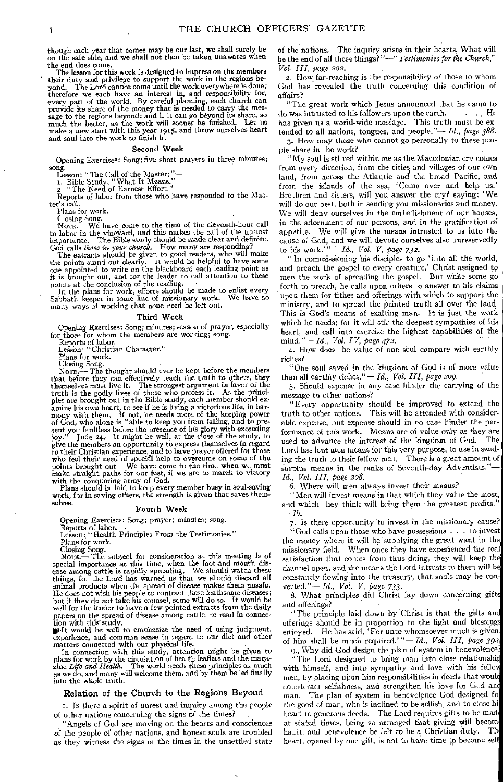though each year that comes may be our last, we shall surely be on the safe side, and we shall not then be taken unawares when the end does come.

The lesson for this week is designed to impress on the members their duty and privilege to support the work in the regions be-yond. The Lord cannot come until the work everywhere is done; therefore we each have an interest in, and responsibility for, every part of the world. By careful planning, each church can<br>provide its share of the money that is needed to carry the mes-<br>sage to the regions beyond; and if it can go beyond its share, so<br>much the better, as the work w make a new start with this year 1915, and throw ourselves heart and soul into the work to finish it.

#### Second Week

Opening Exercises: Song; five short prayers in three minutes; song.

Lesson: "The Call of the Masten"— r. Bible Study, "What It Means." 2. "The Need of Earnest Effort."

Reports of labor from those who have responded to the Mas-

ter's call.

Plans for work.

Closing Song. NOTE.- We have come to the time of the eleventh-hour call to labor in the vineyard, and this makes the call of the utmost importance. The Bible study should be made clear and definite.

God calls *those in your church.* How many are responding? The extracts should be given to good readers, who will make the points stand out clearly. It would be helpful to have some one appointed to write on the blackboard each leading point as it is brought out, and for the leader to call attention to these points at the conclusion of the reading.<br>In the plans for work, efforts should be made to enlist every

Sabbath keeper in some line of missionary work. We have so many ways of working that none need be left out.

#### Third Week

Opening Exercises: Song; minutes; season of prayer, especially for those for whom the members are working; song.

Reports of labor. Lesson: "Christian Character."

Plans for work.

Closing Song. NOTE.— The thought should ever be kept before the members that before they can effectively teach the truth to others, they<br>themselves must live it. The strongest argument in favor of the<br>truth is the godly lives of those who profess it. As the princi-<br>ples are brought out in the sent you faultless before the presence of his glory with exceeding<br>joy." Jude 24. It might be well, at the close of the study, to<br>give the members an opportunity to express themselves in regard<br>to their Christian experienc who feel their need of special help to overcome on some of the points brought out. We have come to the time when we must make straight paths for our feet, if we are to march to victory with the conquering army of God. with the conquering army of God.<br>Plans should be laid to keep every member busy in soul-saving

work, for in saving others, the strength is given that saves themselves.

#### Fourth Week

#### Opening Exercises: Song; prayer; minutes; song.

Reports of labor. Lesson: "Health Principles From the Testimonies." Plans for work.

Closing Song.<br>
Note .— The subject for consideration at this meeting is of special importance at this time, when the foot-and-mouth disease among cattle is rapidly spreading. We should watch these things, for the Lord has warned us that we should discard all animal products when the spread of disease makes them unsafe. He does not wish his people to contract these loathsome diseases; but if they do not take his counsel, some will do so. It would be well for the leader to have a few pointed extracts from the daily papers on the spread of disease among cattle, to read in connection with this-study.<br>
Non with this-study.<br>
Noilt would be well to emphasize the need of using judgment,

experience, and common sense in regard to our diet and other matters connected with our physical life.

In connection with this study, attention might be given to plans for work by the circulation of health leaflets and the magazine Life and Health. The world needs these principles as much as we do, and many will welcome the into the whole truth.

#### Relation of the Church to the Regions Beyond

I. Is there a spirit of unrest and inquiry among the people of other nations concerning the signs of the times?

"Angels of God are moving on the hearts and consciences of the people of other nations, and honest souls are troubled as they witness the signs of the times in the unsettled state

of the nations. The inquiry arises in their hearts, What will be the end of all these things?"—" *Testimonies for the Church," Vol. III, page zoz.* 

2. How far-reaching is the responsibility of those to whom God has revealed the truth concerning this condition of affairs?

"The great work which Jesus announced that he came to do was intrusted to his followers upon the earth. . . . He has given us a world-wide message. This truth must be extended to all nations, tongues, and people."— *Id., page 388.* 

3. How may those who cannot go personally to these people share in the work?

"My soul is stirred within me as the Macedonian cry comes from every direction, from the cities and villages of our own land, from across the Atlantic and the broad Pacific, and from the islands of the sea, 'Come over and help us.' Brethren and sisters, will you answer the cry? saying: ' We will do our best, both in sending you missionaries and money. We will deny ourselves in the embellishment of our houses, in the adornment of our persons, and in the gratification of appetite. We will give the means intrusted to us into the cause of God, and we will devote ourselves also unreservedly to his work.' "— *Id., Vol. V, page 732.* 

"In commissioning his disciples to go 'into all the world, and preach the gospel to every creature,' Christ assigned tp men the work of spreading the gospel. But while some go forth to preach, he calls upon others to answer to his claims upon them for tithes and offerings with which to support the ministry, and to spread the printed truth all over the land. This is God's means of exalting man. It is just the work which he needs; for it will stir the deepest sympathies of his heart, and call into exercise the highest capabilities of the mind."— *Id., Vol. IV, page 472.* 

4. How does the value of one soul compare with earthly riches?

"One soul saved in the kingdom of God is of more value than all earthly riches."— *Id., Vol. III, page 209.* 

5. Should expense in any case hinder the carrying of the message to other nations?

"Every opportunity should be improved to extend the truth to other nations. This will be attended with considerable expense, but expense should in no case hinder the performance of this work. Means are of value only as they are used to advance the interest of the kingdom of God. The Lord has lent men means for this very purpose, to use in sending the truth to their fellow men. There is a great amount of surplus means in the ranks of Seventh-day Adventists."-*Id., Vol. III, page 208.* 

6. Where will men always invest their means?

"Men will invest means in that which they value the most, and which they think will bring them the greatest profits." *—lb.* 

7. Is there opportunity to invest in the missionary cause?

"God calls upon those who have possessions  $\ldots$  to invest the money where it will be supplying the great want in the missionary field. When once they have experienced the real satisfaction that comes from thus doing, they will keep the channel open, and the means the Lord intrusts to them will b constantly flowing into the treasury, that souls may be con verted."— *Id., Vol. V,* page 733.

8. What principles did Christ lay down concerning gifts and offerings?

"The principle laid down by Christ is that the gifts an offerings should be in proportion to the light and blessing enjoyed. He has said, 'For unto whomsoever much is given. of him shall be much required.'"— *Id., Vol III, page 392* 

9., Why did God design the plan of system in benevolence.

"The Lord designed to bring man into close relationship with himself, and into sympathy and love with his fello men, by placing upon him responsibilities in deeds that woul counteract selfishness, and strengthen his love for God an' man. The plan of system in benevolence God designed fo the good of man, who is inclined to be selfish, and to close hi heart to generous deeds. The Lord requires gifts to be mad at stated times, being so arranged that giving will becom habit, and benevolence be felt to be a Christian duty. Th heart, opened by one gift, is not to have time to become self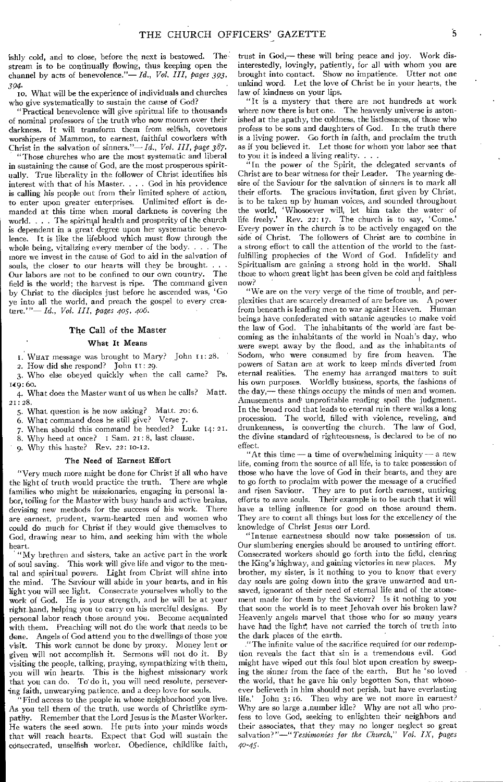ishly cold, and to close, before the next is bestowed. The stream is to be continually flowing, thus keeping open the channel by acts of benevolence."— *Id., Vol. III, pages 393,* 

*394. •*  1o. What will be the experience of individuals and churches who give systematically to sustain the cause of God?

"Practical benevolence will give spiritual life to thousands of nominal professors of the truth who now mourn over their darkness. It will transform them from selfish, covetous worshipers of Mammon, to earnest, faithful coworkers with Christ in the salvation of sinners."— *Id., Vol. III, page 387.* 

"Those churches who are the most systematic and liberal in sustaining the cause of God, are the most prosperous spiritually. True liberality in the follower of Christ identifies his interest with that of his Master. . . . God in his providence is calling his people out from their limited sphere of action, to enter upon greater enterprises. Unlimited effort is demanded at this time when moral darkness is covering the world.  $\ldots$  . The spiritual health and prosperity of the church is dependent in a great degree upon her systematic benevolence. It is like the lifeblood which must flow through the whole being, vitalizing every member of the body.  $\ldots$ . The more we invest in the cause of God to aid in the salvation of souls, the closer to our hearts will they be brought....<br>Our labors are not to be confined to our own country. The Our labors are not to be confined to our own country. field is the world; the harvest is ripe. The command given

by Christ to the disciples just before he ascended was, 'Go ye into all the world, and preach the gospel to every creature.'"— *Id., Vol. III, pages 405, 406.* 

#### The Call of the Master

#### What It Means

1. WHAT message was brought to Mary? John 11: 28,

2. How did she respond? John 11:29.

3. Who else obeyed quickly when the call came? Ps. 149: 6o.

4. What does the Master want of us when he calls? Matt. 21:28.

5. What question is he now asking? Matt. zo: 6.

6. What command does he still give? Verse 7.

When should this command be heeded? Luke 14: 21.

8. Why heed at once? I Sam. 21:8, last clause.

9. Why this haste? Rev. 22: 10-12.

#### The Need of Earnest Effort

"Very much more might be done for Christ if all who have the light of truth would practice the truth. There are whgle families who might be missionaries, engaging in personal labor, toiling for the Master with busy hands and active brains, devising new methods for the success of his work. There are earnest, prudent, warm-hearted men and women who could do much for Christ if they would give themselves to God, drawing near to him, and seeking him with the whole heart.

"My brethren and sisters, take an active part in the work of soul saving. This work will give life and vigor to the mental and spiritual powers. Light from Christ will shine into the mind. The Saviour will abide in your hearts, and in his light you will see light. Consecrate yourselves wholly to the work of God. He is your strength, and he will be at your right hand, helping you to carry on his merciful designs. By personal labor reach those around you. Become acquainted with them. Preaching will not do the work that needs to be done. Angels of God attend you to the dwellings of those you visit. This work cannot be done by proxy. Money lent or given will not accomplish it. Sermons will not do it. By visiting the people, talking, praying, sympathizing with them, you will win hearts. This is the highest missionary work This is the highest missionary work that you can do. To' do it, you will need resolute, persevering faith, unwearying patience, and a deep love for souls.

"Find access to the people in whose neighborhood you live. As you tell them of the truth, use words of Christlike sympathy. Remember that the Lord Jesus is the Master Worker. He waters the seed sown. He puts into your minds words that will reach hearts. Expect that God will sustain the consecrated, unselfish worker. Obedience, childlike faith, trust in God,— these will bring peace and joy. Work disinterestedly, lovingly, patiently, for all with whom you are brought into contact. Show no impatience. Utter not one unkind word. Let the love of Christ be in your hearts, the law of kindness on your lips.

"It is a mystery that there are not hundreds at work where now there is but one. The heavenly universe is astonished at the apathy, the coldness, the listlessness, of those who profess to be sons and daughters of God. In the truth there is a living power. Go forth in faith, and proclaim the truth as if you believed it. Let those for whom you labor see that to you it is indeed a living reality.

"In the power of the Spirit, the delegated servants of Christ are to bear witness for their Leader. The yearning desire of the Saviour for the salvation of sinners is to mark all their efforts. The gracious invitation, first given by Christ, is to be taken up by human voices, and sounded throughout the world, 'Whosoever will, let him take the water of life freely.' Rev. 22: 17. The church is to say, 'Come.' Every power in the church is to be actively engaged on the side of Christ. The followers of Christ are to combine in a strong effort to call the attention of the world to the fastfulfilling prophecies of the Word of God. Infidelity and Spiritualism are gaining a strong hold in the world. Shall those to whom great light has been given be cold and faithless now?

"We are on the very verge of the time of trouble, and perplexities that are scarcely dreamed of are before us. A power from beneath is leading men to war against Heaven. Human beings have confederated with satanic agencies to make void the law of God. The inhabitants of the world 'are fast becoming as the inhabitants of the world in Noah's day, who were swept away by the flood, and as the inhabitants of Sodom, who were consumed by fire from heaven. The powers of Satan are at work to keep minds diverted from eternal realities. The enemy has arranged matters to suit his own purposes. Worldly business, sports, the fashions of the day,— these things occupy the minds of men and women. Amusements and unprofitable reading spoil the judgment. In the broad road that leads to eternal ruin there walks a long procession. The world, filled with violence, reveling, and drunkenness, is converting the church. The law of God, the divine standard of righteousness, is declared to be of no effect.

"At this time — a time of overwhelming iniquity — a new life, coming from the source of all life, is to take possession of those who have the love of God in their hearts, and they are to go forth to proclaim with power the message of a crucified and risen Saviour. They are to put forth earnest, untiring efforts to save souls. Their example is to be such that it will have a telling influence for good on those around them. They are to count all things but loss for the excellency of the knowledge of Christ Jesus our Lord.

"Intense earnestness should now take possession of us. Our slumbering energies should be aroused to untiring effort. Consecrated workers should go forth into the field, clearing the King's highway, and gaining victories in new places. My brother, my sister, is it nothing to you to know that every day souls are going down into the grave unwarned and unsaved, ignorant of their need of eternal life and of the atonement made for them by the Saviour? Is it nothing to you that soon the world is to meet Jehovah over his broken law? Heavenly angels marvel that those who for so many years have had the light', have not carried the torch of truth into the dark places of the earth.

"The infinite value of the sacrifice required for our redemption reveals the fact that sin is a tremendous evil. God might have wiped out this foul blot upon creation by sweeping the sinner from the face of the earth. But he 'so loved the world, that he gave his only begotten Son, that whosoever believeth in him should not perish, but have everlasting life.' John 3: 16. Then why are we not more in earnest? Why are so large a ,number idle? Why are not all who profess to love God, seeking to enlighten their neighbors and their associates, that they may no longer neglect so great salvation?"—" *Testimonies for the Church," Vol. IX, pages 40-45•*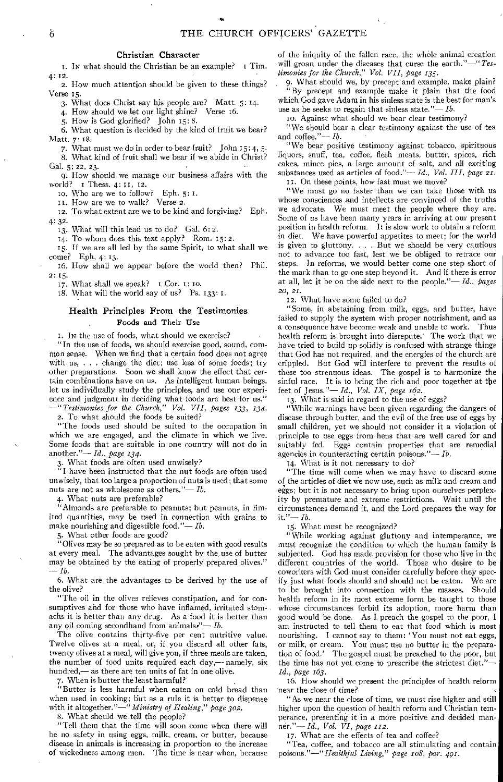#### Christian Character

I. IN what should the Christian be an example? I Tim. 4: 12.

2. How much attention should be given to these things? Verse 15.

3. What does Christ say his people are? Matt. 5: 14.

4. How should we let our light shine?

5. How is God glorified? John 15:8.

6. What question is decided by the kind of fruit we bear? Matt. 7:18.

7. What must we do in order to bear fruit? John 15:4, 5.

8. What kind of fruit shall we bear if we abide in Christ? Gal. 5: 22, 23.

9. How should we manage our business affairs with the world? I Thess. 4: II, 12.

Io. Who are we to follow? Eph.  $5:1$ .

u. How are we to walk? Verse 2.

12, To what extent are we to be kind and forgiving? Eph. 4: 32.

13. What will this lead us to do? Gal. 6:2.

14. To whom does this text apply? Rom. 15:2.

15. If we are all led by the same Spirit, to what shall we come? Eph. 4: 13.

16. How shall we appear before the world then? Phil. 2: 15.

17. What shall we speak? I Cor. I: to.

18. What will the world say of us? Ps. 133: 1.

#### Health Principles From the Testimonies Foods and Their Use

I. IN the use of foods, what should we exercise?

"In the use of foods, we should exercise good, sound, common sense. When we find that a certain food does not agree with us, . . . change the diet; use less of some foods; try other preparations. Soon we shall know the effect that certain combinations have on us. As intelligent human beings, let us individually study the principles, and use our experience and judgment in deciding what foods are best for us." *-"Testimonies for the Church," Vol. VII, pages 133, 134.* 

2. To what should the foods be suited?

"The foods used should be suited to the occupation in which we are engaged, and the climate in which we live. Some foods that are suitable in one country will not do in another."-*Id.*, *page 134.* 

3. What foods are often used unwisely?

"I have been instructed that the nut foods are often used unwisely, that too large a proportion of nuts is used; that some nuts are not as wholesome as others." $-$ *Ib.* 

4. What nuts are preferable?

"Almonds are preferable to peanuts; but peanuts, in limited quantities, may be used in connection with grains to make nourishing and digestible food."-*Ib*.

5. What other foods are good?

"Olives may be so prepared as to be eaten with good results at every meal. The advantages sought by the, use of butter may be obtained by the eating of properly prepared olives."  $-Ib$ .

6. What are the advantages to be derived by the use of the olive?

"The oil in the olives relieves constipation, and for consumptives and for those who have inflamed, irritated stomachs it is better than any drug. As a food it is better than any oil coming secondhand from animals.<sup> $\prime - Ib$ </sup>.

The olive contains thirty-five per cent nutritive value. Twelve olives at a meal, or, if you discard all other fats, twenty olives at a meal, will give you, if three meals are taken, the number of food units required each day,— namely, six hundred,— as there are ten units of fat in one olive.

7. When is butter the least harmful?

"Butter is less harmful when eaten on cold bread than when used in cooking; but as a rule it is better to dispense with it altogether."-" Ministry of Healing," page 302.

8. What should we tell the people?

"Tell them that the time will soon come when there will be no safety in using eggs, milk, cream, or butter, because disease in animals is increasing in proportion to the increase of wickedness among men. The time is near when, because of the iniquity of the fallen race, the whole animal creation will groan under the diseases that curse the earth."-" Tes*timonies for the Church," Vol. VII, page 135.* 

9. What should we, by precept and example, make plain? "By precept and example make it plain that the food which God gave Adam in his sinless state is the best for man's use as he seeks to regain that sinless state."—  $Ib$ .

lo. Against what should we bear clear testimony?

"We should bear a clear testimony against the use of tea and coffee."-Ib.

'We bear positive testimony against tobacco, spirituous liquors, snuff, tea, coffee, flesh meats, butter, spices, rich cakes, mince pies, a large amount of salt, and all exciting substances used as articles of food."-*Id.*, Vol. III, page 21. II. On these points, how fast must we move?

"We must go no faster than we can take those with us whose consciences and intellects are convinced of the truths we advocate. We must meet the people where they are. Some of us have been many years in arriving at our present position in health reform, It is slow work to obtain a reform in diet. We have powerful appetites to meet; for the world is given to gluttony. . . . But we should be very cautious not to advance too fast, lest we be obliged to retrace our steps. In reforms, we would better come one step short of the mark than to go one step beyond it. And if there is error at all, let it be on the side next to the people." $-Id$ ., pages *20, 21.* 

12. What have some failed to do?

"Some, in abstaining from milk, eggs, and butter, have failed to supply the system with proper nourishment, and as a consequence have become weak and unable to work. Thus health reform is brought into disrepute: The work that we have tried to build up solidly is confused with strange things that God has not required, and the energies of the church are crippled. But God will interfere to prevent the results of these too strenuous ideas. The gospel is to harmonize the sinful race. It is to bring the rich and poor together at the feet of Jesus."- *Id., Vol. IX, page 162.* 

13. What is said in regard to the use of eggs?

"While warnings have been given regarding the dangers of disease through butter, and the evil of the free use of eggs by small children, yet we should not consider it a violation of principle to use, eggs from hens that are well cared for and suitably fed. Eggs contain properties that are remedial agencies in counteracting certain poisons." $-$  *Ib.* 

14. What is it not necessary to do?

"The time will come when we may have to discard some of the articles of diet we now use, such as milk and cream and eggs; but it is not necessary to bring upon ourselves perplexity by premature and extreme restrictions. Wait until the circumstances demand it, and the Lord prepares the way for  $it.'' Ib.$ 

15. What must be recognized?

"While working against gluttony and intemperance, we must recognize the condition to which the human family is subjected. God has made provision for those who live in the different countries of the world. Those who desire to be coworkers with God must consider carefully before they spec-<br>ifv just what foods should and should not be eaten. We are ify just what foods should and should not be eaten. to be brought into connection with the masses. Should health reform in its most extreme form be taught to those whose circumstances forbid its adoption, more harm than good would be done. As I preach the gospel to the poor, I am instructed to tell them to eat that food which is most nourishing. I cannot say to them: 'You must not eat eggs, or milk, or cream. You must use no butter in the preparation of food.' The gospel must be preached to the poor, but the time has not yet come to prescribe the strictest diet."- *Id., page 163.* 

16. How should we present the principles of health reform 'near the close of time? •

"As we near the close of time, we must rise higher and still higher upon the question of health reform and Christian temperance, presenting it in a more positive and decided manner."- *Id., Vol. VI, page 112.* 

17. What are the effects of tea and coffee?

"Tea, coffee, and tobacco are all stimulating and contain *poisons."-"Healthful Living," page 168, par. 461.*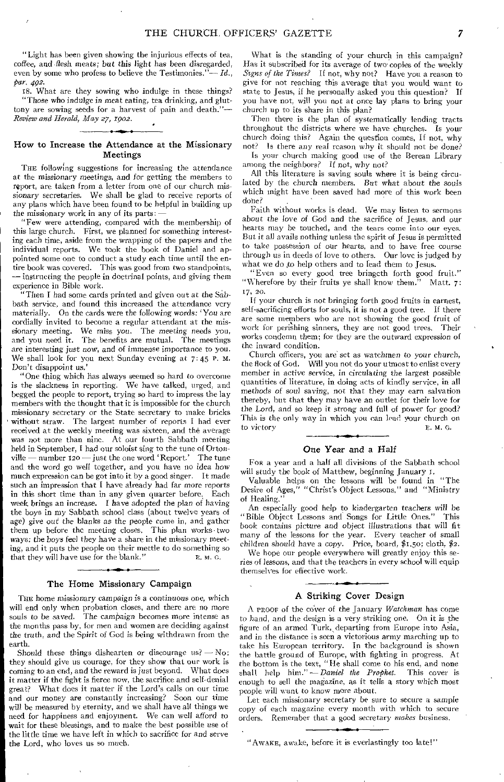"Light has been given showing the injurious effects of tea, coffee, and flesh meats; but this light has been disregarded, even by some who profess to believe the Testimonies."— *Id., par. 492.* 

IS. What are they sowing who indulge in these things? "Those who *indulge in* meat eating, tea drinking, and gluttony are sowing seeds for a harvest of pain and death."-*Review and Herald, May 27, 1902.* 

#### How to Increase the Attendance at the Missionary Meetings

THE following suggestions for increasing the attendance at the *missionary* meetings, and for getting the members to report, are taken from a letter from one of our church missionary secretaries. We shall be glad to receive reports of any plans which have been found to be helpful in building up the missionary work in any of its parts:—

"Few were attending, compared with the membership of this large church. First, we planned for something interesting each time, aside from the wrapping of the papers and the individual reports. We took the book of Daniel and appointed some one to conduct a study each time until the entire book was covered. This was good from two standpoints, — instructing the people in doctrinal points, and giving them experience in Bible work.

"Then I had some cards printed and given out at the Sabbath service, and found this increased the attendance very materially. On the cards were the following words: 'You are cordially invited to become a regular attendant at the missionary meeting. We miss you. The meeting needs you, and you need it. The benefits are mutual. The meetings are interesting just *now,* and of immense importance to you. We shall look for you next Sunday evening at 7:45 P. M. Don't disappoint us.'

"One thing which has always seemed so hard to overcome is the slackness in reporting. We have talked, urged, and begged the people to report, trying so hard to impress the lay members with the thought that it is impossible for the church missionary secretary or the State secretary to make bricks without straw. The largest number of reports I had ever received at the weekly meeting was sixteen, and the average was not more than nine. At our fourth Sabbath meeting held in September, I had our soloist sing to the tune of Orton-<br>ville — number 120 — just the one word 'Report.' The tune ville — number  $120 -$  just the one word 'Report.' and the word go well together, and you have no idea how much expression can be got into it by a good singer. It made such an impression that I have already had far *more* reports in this short time than in any given quarter before. Each week brings an increase. I have adopted the plan of having the boys in my Sabbath school class (about twelve years of age) give out' the blanks *as* the people come in, and gather them up before the meeting closes. This plan works two ways: the boys feel they have a share in the missionary meeting, and it puts the people on their mettle to do something so that they will have use for the blank."  $E. M. G.$ 

#### The Home Missionary Campaign

THE home missionary campaign is a continuous one, which will end only when probation closes, and there are no more souls to be saved. The campaign becomes more intense as The campaign becomes more intense as the months pass by, for men and women are deciding against the *truth,* and the Spirit of God is being withdrawn from the earth.

Should these things dishearten or discourage us?  $-$  No; they should give us courage, for they show that our work is coming to an end, and the reward is just beyond. What does it matter if the fight is fierce now, the sacrifice and self-denial great? What does it matter if the Lord's calls on our time What does it matter if the Lord's calls on our time and our money are constantly increasing? Soon our time will be measured by eternity, and we shall have all things we need for happiness and enjoyment. We can well afford to wait for these blessings, and to make the best possible use of the little time we have left in which to sacrifice for and serve the Lord, who loves us so much.

What is the standing of your church in this campaign? Has it subscribed for its average of two' copies of the weekly *Signs of the Times?* If not, why not? Have you a reason to give for not reaching this average that you would want to state to Jesus, if he personally asked you this question? If you have not, will you not at once lay plans to bring your church up to its share in this plan?

Then there is the plan of systematically lending tracts throughout the districts where we have churches. Is your church doing this? Again the question comes, If not, why not? Is there any real reason why it should not be done?

Is your church making good use of the Berean Library among the neighbors? If not, why not?

All this literature is saving souls where it is being circulated by the church members. But what about the *souls*  which might have been saved had more of this work been done?

Faith without works is dead. We may listen to sermons about the love of God and the sacrifice of Jesus, and our hearts may be touched, and the tears come into our eyes. But it all avails nothing unless the spirit of Jesus is permitted to take possession of our hearts, and to have free course through us in deeds of love to others. Our love is judged by what we do to help others and to lead them to Jesus.

"Even so every good tree bringeth forth good fruit." "Wherefore by their fruits ye shall know them." 17, 20.

If your church is not bringing forth good fruits in earnest, self-sacrificing efforts for souls, it is not a good tree. If there are some members who are not showing the good fruit of work for perishing sinners, they are not good trees. Their works condemn them; for they are the outward expression *of*  the inward condition.

Church officers, you are set as watchmen to your church, the flock of God. Will you not do your utmost to enlist every member in active service, in *circulating* the largest possible quantities of literature, in doing acts of kindly service, in all methods *of soul* saving, not that they may earn salvation thereby, but that they may have an outlet for their love for the Lord, and so keep it strong and full of power for good? This is the only way in which you can lead your church on<br>to victory  $E. M. G.$ to victory

#### One Year and a Half

FOR a year and a half all divisions of the Sabbath school will study the book of Matthew, beginning January r.

Valuable helps on the lessons will be found in "The Desire of Ages," "Christ's Object Lessons," and "Ministry of Healing.'

An especially good help to kindergarten teachers will *be*  "Bible Object Lessons and Songs for Little Ones." This book contains picture and object illustrations that will fit many of the lessons for the year. Every teacher of small children should have a copy. Price, board, \$1.5o; cloth, \$2.

We hope our people everywhere will greatly enjoy this *series of lessons,* and that the teachers in every school will equip themselves for effective work.

#### A Striking Cover Design

A PROOF of the cover of the January *Watchman* has come *to* hand, and the design is a very striking one, On it is the figure of an armed Turk, departing from Europe into Asia, and in the distance is seen a victorious army marching up to take his European territory. In the background is shown the battle ground of Europe, with fighting in progress. At the bottom is the text, "He shall come to his end, and none shall help him." — *Daniel the Prophet*. This cover is shall help him." — *Daniel the Prophet*. enough to sell the magazine, as it tells a story which most people will want to know more about.

Let each missionary secretary be sure to secure a sample copy of each magazine every month with which to secure orders. Remember that a good secretary *makes business.* 

"AWAKE, awake, before it is everlastingly too late!"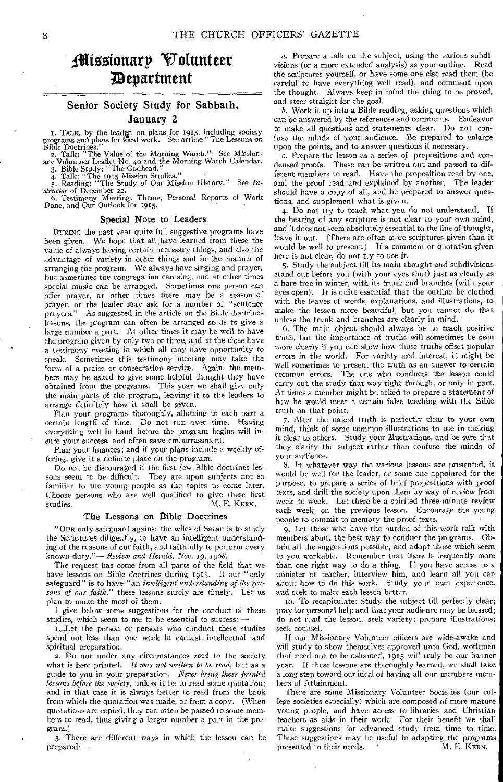## filisotonarp Volunteer ;Department

### Senior Society Study for Sabbath, January 2

I. TALK, by the leader, on plans for 1915, including society rograms and plans for local work. See article "The Lessons on programs and plans for local work. See article "The Lessons on

Bible Doctrines."<br>
2. Talk: "The Value of the Morning Watch." See Mission-<br>
ary Volunteer Leaflet No. 40 and the Morning Watch Calendar.<br>
3. Bible Study: "The Godhead."

4. Talk: "The 1915 Mission Studies." 5. Reading: "The Study of Our Mission History." See *In-structor* of December 22.

6. Testimony Meeting: Theme, Personal Reports of Work Done, and Our Outlook for 1915.

#### Special Note to Leaders

DURING the past year quite full suggestive programs have been given. We hope that all have learned from these the value of always having certain necessary things, and also the advantage of variety in other things and in the manner of arranging the program. We always have singing and prayer, but sometimes the congregation can sing, and at other times special music can be arranged. Sometimes one person can offer prayer, at other times there may be a season of prayer, or the leader may ask for a number of "sentence prayers." As suggested in the article on the Bible doctrines lessons, the program can often be arranged so as to give a large number a part. At other times it may be well to have the program given by only two or three, and at the close have a testimony meeting in which all may have opportunity to speak. Sometimes this testimony meeting may take the form of a praise or consecration service. Again, the members may be asked to give some helpful thought they have obtained from the programs. This year we shall give only the main parts of the program, leaving it to the leaders to arrange definitely how it shall be given.

Plan your programs thoroughly, allotting to each part a certain length of time. Do not run over time. Having everything well in hand before the program begins will insure your success, and often save embarrassment,

Plan your finances; and if your plans include a weekly offering, give it a definite place on the program.

Do not be discouraged if the first few Bible doctrines lessons seem to be difficult. They are upon subjects not so familiar to the young people as the topics to come later. Choose persons who are well qualified to give these first studies.<br>M. E. KERN. M. E. KERN.

#### The Lessons on Bible Doctrines

"OUR only safeguard against the wiles of Satan is to study the Scriptures diligently, to have an intelligent understanding of the reasons of our faith, and faithfully to perform every known duty*."*— *Review and Herald, Nov. 19, 1998.* 

The request has come from all parts of the field that we have lessons on Bible doctrines during 1915. If our "only safeguard" is to have "an *intelligent understanding of the reasons of our faith,"* these lessons surely are timely. Let us plan to make the most of them.

I give below some suggestions for the conduct of these studies, which seem to me to be essential to success:

L\_Let the person or persons who conduct these studies spend not less than one week in earnest intellectual and spiritual preparation.

2. Do not under any circumstances *read* to the society what is here printed. *It was not written to be read,* but as a guide to you in your preparation. *Never bring these printed lessons before the society,* unless it be to read some quotation; and in that case it is always better to read from the book from which the quotation was made, or from a copy. (When quotations are copied, they can often be passed to some members to read, thus giving a larger number a part in the program.)

3. There are different ways in which the lesson can be prepared: —

a. Prepare a talk on the subject, using the various subdi visions (or a more extended analysis) as your outline. Read the scriptures yourself, or have some one else read them (be careful to have everything well read), and comment upon the thought. Always keep in mind the thing to be proved, and steer straight for the goal.

b. Work it up into a Bible reading, asking questions which can be answered by the references and comments. Endeavor to make all questions and statements clear. Do not confuse the minds of your audience. Be prepared to enlarge upon the points, and to answer questions if necessary.

c. Prepare the lesson as a series of propositions and condensed proofs. These can be written out and passed to different members to read. Have the proposition read by one, and the proof read and explained by another. The leader should have a copy of all, and be prepared to answer questions, and supplement what is given.

4. Do not try to teach what you do not understand. If the bearing of any scripture is not clear to your own mind, and it does not seem absolutely essential to the line of thought, leave it out. (There are often more scriptures given than it would be well to present.) If a comment or quotation given here is not clear, do not try to use it.

5. Study the subject till its main thought and subdivisions stand out before you (with your eyes shut) just as clearly as a bare tree in winter, with its trunk and branches (with your eyes open). It is quite essential that the outline be clothed with the leaves of words, explanations, and illustrations, to make the lesson more beautiful, but you cannot do that unless the trunk and branches are clearly in mind.

6. The main object should always be to teach positive truth, but the importance of truths will sometimes be seen more clearly if you can show how those truths offset popular errors in the world. For variety and interest, it might be well sometimes to present the truth as an answer to certain common errors. The one who conducts the lesson could carry out the study that way right through, or only in part. At times a member might be asked to prepare a statement of how he would meet a certain false teaching with the Bible truth on that point.

7. After the naked truth is perfectly clear to your own mind, think of some common illustrations to use in making it clear to others. Study your illustrations, and be sure that they clarify the subject rather than confuse the minds of your audience.

8. In whatever way the various lessons are presented, it would be well for the leader, or some one appointed for the purpose, to prepare a series of brief propositions with proof texts, and drill the society upon them by way of review from week to week. Let there be a spirited three-minute review each Week, on the previous lesson. Encourage the young people to commit to memory the proof texts.

9, Let those who have the burden of this work talk with members about the best way to conduct the programs. Obtain all the suggestions possible, and adopt those which seem to you workable. Remember that there is frequently more than one right way to do a thing. If you have access to a minister or teacher, interview him, and learn all you can about how to do this work. Study your own experience, and seek to make each lesson better.

to. To recapitulate: Study the subject till perfectly clear; pray for personal help and that your audience may be blessed; do not read the lesson; seek variety; prepare illustrations; seek counsel.

If our Missionary Volunteer officers are wide-awake and will study to show themselves approved unto God, workmen that need not to be ashamed, 1915 will truly be our banner year. If these lessons are thoroughly learned, we shall take a long step toward our ideal of having all our members members of Attainment.

There are some Missionary Volunteer Societies (our college societies especially) which are composed of more mature young people, and have access to libraries and Christian teachers as aids in their work. For their benefit we shall make suggestions for advanced study from time to time. These suggestions may be useful in adapting the programs presented to their needs. M. E. KERN. presented to their needs.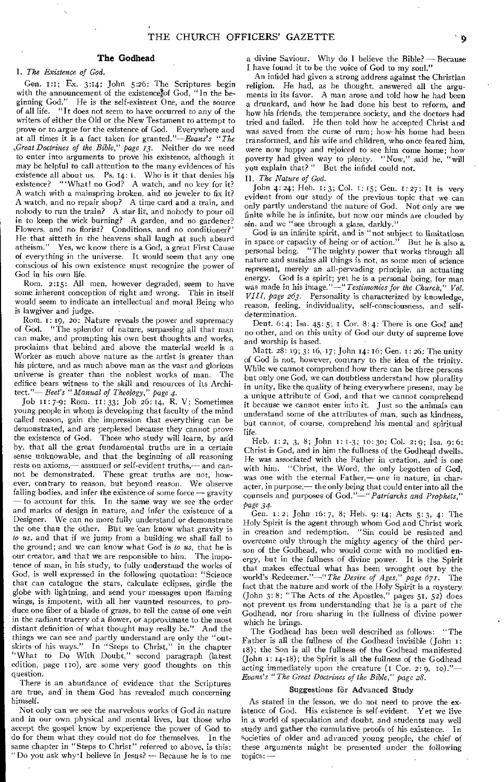#### The Godhead

#### I. *The Existence of God.*

Gen. 1:1; Ex. 3:14; John 5:26: The Scriptures begin with the announcement of the existence of God, "In the beginning God." He is the self-existent One, and the source of all life. "It does not seem to have occurred to any of the writers of either the Old or the New Testament to attempt to prove or to argue for the existence of God. Everywhere and at all times it is a fact taken for granted."—Evans's *"The ;Great Doctrines of the Bible," page 13.* Neither do we need to enter into arguments to prove his existence, although it may be helpful to call attention to the many evidences of his existence all about us. Ps. 14: I. Who is it that denies his existence? "'What! no God? A watch, and no key for it? A watch with a mainspring broken, and no jeweler to fix it? A watch, and no repair shop? A time card and a train, and nobody to run the train? A star lit, and nobody to pour oil in to keep the wick burning? A garden, and no gardener? Flowers, and no florist? Conditions, and no conditioner?' He that sitteth in the heavens shall laugh at such absurd atheism." Yes, we know there is a God, a great First Cause Yes, we know there is a God, a great First Cause of everything in the universe. It would seem that any one conscious of his own existence must recognize the power of God in his own life.

Rom. 2:15: All men, however degraded, seem to have some inherent conception of right and wrong. This in itself would seem to indicate an intellectual and moral Being who is lawgiver and judge.

Rom. I: 19, zo: Nature reveals the power and supremacy of God. "The splendor of nature, surpassing all that man can make, and prompting his own best thoughts and works, proclaims that behind and above the material world is a Worker as much above nature as the artist is greater than his picture, and as much above man as the vast and glorious universe is greater than the noblest works of man. The edifice bears witness to the skill and resources of its Architect."— *Beet's "Manual of Theology," page 4.* 

Job 11: 7-9; Rom. II: 33; Job 26:14, R. V: Sometimes young people in whom is developing that faculty of the mind called reason, gain the impression that everything can be demonstrated, and are perplexed because they cannot prove the existence of God. Those who study will learn, by and Those who study will learn, by and by, that all the great fundamental truths are in a certain sense unknowable, and that the beginning of all reasoning rests on axioms,— assumed or self-evident truths,— and cannot be demonstrated. These great truths are not, however, contrary to reason, but beyond reason. We observe falling bodies, and infer the existence of some force — gravity — to account for this. In the same way we see the order and marks of design in nature, and infer the existence of a Designer. We can no more fully understand or demonstrate the one than the other. But we can know what gravity is *to us,* and that if we jump from a building we shall fall to the ground; and we can know what God is *to us,* that he is our creator, and that we are responsible to him. The impotence of man, in his study, to fully understand the works of God, is well expressed in the following quotation: "Science that can catalogue the stars, calculate eclipses, girdle the globe with lightning, and send your messages upon flaming wings, is impotent, with all her vaunted resources, to produce one fiber of a blade of grass, to tell the cause of one vein in the radiant tracery of a flower, or approximate to the most distant definition of what thought may really be." And the things we can see and partly understand are only the "outskirts of his ways." In "Steps to Christ," in the chapter "What to Do With Doubt," second paragraph (latest edition, page 110), are some very good thoughts on this question.

There is an abundance of evidence that the Scriptures are true, and in them God has revealed much concerning himself.

Not only can we see the marvelous works of God in nature and in our own physical and mental lives, but those who accept the gospel know by experience the power of God to do for them what they could not do for themselves. In the same chapter in "Steps to Christ" referred to above, is this: "Do you ask why"I believe in Jesus? — Because he is to me a divine Saviour. Why do I believe the Bible? — Because I have found it to be the voice of God to my soul."

An infidel had given a strong address against the Christian religion. He had, as he thought, answered all the arguments in its favor. A man arose and told how he had been a drunkard, and how he had done his best to reform, and how his friends, the temperance society, and the doctors had tried and failed. He then told how he accepted Christ and was saved from the curse of rum; how• his home had been transformed, and his wife and children, who once feared him, were now happy and rejoiced to see him come home; how poverty had given way to plenty. "Now," said he, "will you explain that?" But the infidel could not. But the infidel could not.

II. *The Nature of God.* 

John 4:24; Heb. i:3; Col. 1:15; Gen. 1:27: It is very evident from our study of the previous topic that we can only partly understand the nature of God. Not only are we finite while he is infinite, but now our minds are clouded by sin, and we "see through a glass, darkly."

God is an infinite spirit, and is "not subject to limitatiosn in space or capacity of being or of action." But he is also a personal being. "The mighty power that works through all nature and sustains all things is not, as some men of science represent, merely an all-pervading principle, an actuating energy. God is a spirit; yet he is a personal being, for man was made in his image."—" *Testimonies for the Church," Vol. VIII, page 263.* Personality is characterized by knowledge, reason, feeling, individuality, self-consciousness, and selfdetermination.

Deut.  $6:4$ ; Isa.  $45:5$ ; I Cor.  $8:4$ : There is one God and no other, and on this unity of God our duty of supreme love and worship is based.

Matt. 28: 19; 3: 16,-17; John 14: 16; Gen. 1: 26: The unity of God is not, however, contrary to the idea of the trinity. While we cannot comprehend how there can be three persons but only one God, we can doubtless understand how plurality in unity, like the quality of being everywhere present, may be a unique attribute of God, and that we cannot comprehend it because we cannot enter into it. Just so the animals can understand some of the attributes of man, such as kindness, but cannot, of course, comprehend his mental and spiritual life.

Heb. 1: 2, 3, 8; John I: 1-3; IO: 30; Col. 2:9; Isa. 9:6: Christ is God, and in him the fullness of the Godhead dwells. He was associated with the Father in creation, and is one with him. "Christ, the Word, the only begotten of God, was one with the eternal Father,— one in nature, in character, in purpose,— the only being that could enter into all the counsels and purposes of *God."—"Patriarchs and Prophets," page 34.* 

Gen. 1: 2: John 16:7, 8; Heb. 9: 14; Acts 5: 3, 4: The Holy Spirit is the agent through whom God and Christ work in creation and redemption. "Sin could be resisted and overcome only through the mighty agency of the third person of the Godhead, who would come with no modified energy, but in the fullness of divine power. It is the Spirit that makes effectual what has been wrought out by the world's Redeemer."—" *The Desire of Ages," page 671.* The fact that the nature and work of the Holy Spirit is a mystery. (John 3: 8; "The Acts of the Apostles," pages 51, 52) does not prevent us from understanding that he is a part of the Godhead, nor from sharing in the fullness of divine power which he brings.

The Godhead has been well described as follows: "The Father is all the fullness of the Godhead invisible (John 1: 18); the Son is all the fullness of the Godhead manifested (John I: 14-18); the Spirit is all the fullness of the Godhead acting immediately upon the creature  $(I \nCor. 2: 9, 10)$ ."-*Evans's "The Great Doctrines of the Bible," page 28.* 

#### Suggestions for Advanced Study

As stated in the lesson, we do not need to prove the existence of God. His existence is self-evident. Yet we live in a world of speculation and doubt, and students may well study and gather the cumulative proofs of his existence. In societies of older and advanced young people, the chief of these arguments might be presented under the following topics: —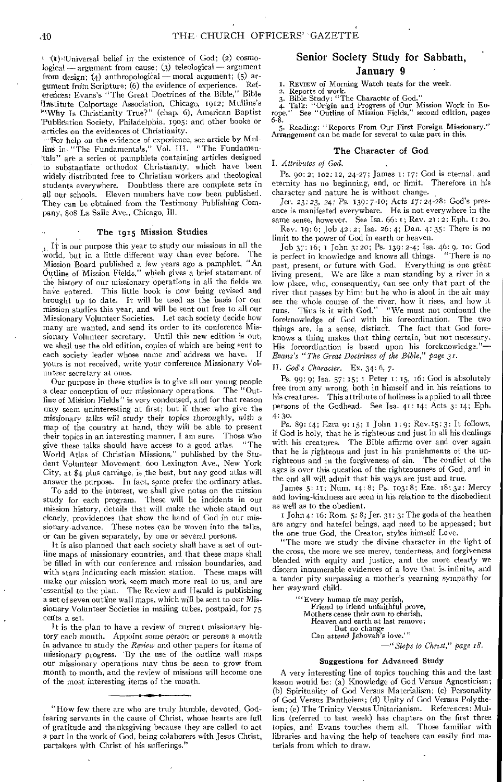$\rightarrow$  (1): Universal belief in the existence of God; (2) cosmological — argument from cause; (3) teleological — argument from design; (4) anthropological—moral argument; (5) argument frdin Scripture; (6) the evidence of experience. References: Evans's "The Great Doctrines of the Bible," Bible Institute Colportage Association, Chicago, 1912; Mullins's "Why Is Christianity True?" (chap. 6), American Baptist 'Publication Society, Philadelphia, 1905; and other books or articles on the evidences of Christianity.

'For help on the evidence of experience, see article by. Mullins' in "The Fundamentals," Vol. III. "The Fundamentals" are a series of pamphlets containing articles designed to substantiate orthodox Christianity, which have been widely distributed free to Christian workers and theological students everywhere. Doubtless there are complete sets in all our schools. Eleven numbers have now been published. They can be obtained from the Testimony Publishing Company, 808 La Salle Ave., Chicago, Ill.

#### The 1915 Mission Studies

It is our purpose this year to study our missions in all the world, but in a little different way than ever before. The Mission Board published a few years ago a pamphlet, "An Outline of Mission Fields," which gives a brief statement of the history of our missionary operations in all the fields we have entered. This little book is now being revised and brought up to date. It will be used as the basis for our mission studies this year, and will be sent out free to all our Missionary Volunteer Societies. Let each society decide how many are wanted, and send its order to its conference Missionary Volunteer secretary. Until this new edition is out, we shall use the old edition, copies of which are being sent to each society leader whose name and address we have. If each society leader whose name and address we have. yours is not received, write your conference Missionary Volunteer secretary at once.

Our purpose in these studies is to give all our young people a clear conception of our missionary operations. The "Outline of MiSsion Fields" is very condensed, and for that reason may seem uninteresting at first; but if those who give the missionary talks *will study* their topics thoroughly, with a map of the country at hand, they will be able to present their topics in an interesting manner, I am sure. Those who give these talks should have access to a good atlas. "The give these talks should have access to a good atlas, "The World Atlas of Christian Missions," published by the Student Volunteer Movement, 600 Lexington Ave., New York City, at \$4 plus carriage, is the best, but any good atlas will answer the purpose. In fact, some prefer the ordinary atlas.

To add to the interest, we shall give notes on the mission study for each program. These will be incidents in our mission history, details that will make the whole stand out clearly, providences that show the hand of God in our missionary-advance. These notes can be woven into the talks, or can be given separately, by one or several persons.

It is also planned that each society shall have a set of outline maps of missionary countries, and that these maps shall be filled in with our conference and mission boundaries, and with stars indicating each mission station. These maps will make our mission work seem much more real to us, and are 'essential to the plan. The Review and Herald is publishing a set of seven outline wall maps, which will be sent to our Missionary Volunteer Societies in mailing tubes, postpaid, for 75 cents a set.

It is the plan to have a review of current missionary history each month. Appoint some person or *persons* a month in advance to study the *Review* and other papers for items of missionary progress. 'By the use of the outline wall maps our missionary operations may thus be seen to grow from month to month, and the review of missions will become one of the most interesting items of the month.

#### Senior Society Study for Sabbath, January 9

I. REVIEW of Morning Watch texts for the week.

2. Reports of work.<br>3. Bible Study: "The Character of God."

4. Talk: "Origin and Progress of Our Mission Work in Eu-rope." See "Outline of Mission Fields," second edition, pages

6-8. 5. Reading: "Reports From Our First Foreign Missionary." Arrangement can be made for several to take part in this.

#### The Character of God

*I. Attributes of God.* 

Ps. oo: 2; 102: 12, 24-27; James 1: 17: God is eternal, and eternity has no beginning, end, or limit. Therefore in his character and nature he is without change.

Jer. *23:* 23, 24; *Ps. 139:* 7-10; Acts 17: 24-28: God's presence is manifested everywhere. He is not everywhere in the same sense, however. See Isa. 66: 1; Rev. 21: 2; Eph. 1: 20.

Rev. 19:6; Job 42:2; Isa. 26:4; Dan. 4: 35: There is no limit to the power of God in earth or heaven.

Job 37: 16; / John 3: 2o; Ps. 139: 2-4; Isa. 46: 9, to: God is perfect in knowledge and knows all things. "There is no past, present, or future with God. Everything is one great living present. We are like a man standing by a river in a low place, who, consequently, can see only that part of the river that passes by him; but he who is aloof in the air may see the whole course of the river, how it rises, and how it runs. Thus is it with God." "We must not confound the foreknowledge of God with his foreordination. The two things are, in a sense, distinct. knows a thing makes that thing certain, but not necessary. His foreordination is based upon his foreknowledge."— *Evans's "The Great Doctrines of the Bible," page 31.* 

*II. God's Character.* Ex. 34: 6, 7.

Ps. 99:9; Isa. 57: 15; I Peter 1:15, 16: God is absolutely free from any wrong, both in himself and in his relations to his creatures. This attribute of holiness is applied to all three persons of the Godhead. See Isa. 41: 14; Acts 3: 14; Eph.

4:30: Ps. 89: 14; Ezra 9: 15; I John 1:9; Rev.15: 3: It follows, if God is holy, that he is righteous and just in all his dealings with his creatures. The Bible affirms over and over again that he is righteous and just in his punishments of the unrighteous and in the forgiveness of sin. The conflict of the ages is over this question of the righteousness of God, and in the end all will admit that his ways are just and true.

James 5: u; Num. 14:8; Ps. 103:8; Eze. 18:32: Mercy and loving-kindness are seen in his relation to the disobedient as well as to the obedient.

John 4: 16; Rom. 5: 8; Jer. 31:3: The gods of the heathen are angry and hateful beings, and need to be appeased; but the one true God, the Creator, styles himself Love.

"The more we study the divine character in the light of the cross, the more we see mercy, tenderness, and forgiveness blended with equity and justice, and the more clearly we discern innumerable evidences of a love that is infinite, and a tender pity surpassing a mother's yearning sympathy for her wayward child.

> "'Every human tie may perish, Friend to friend unfaithful prove, Mothers cease their own to cherish, Heaven and earth at last remove; But no change Can attend Jehovah's love.'" *—"Steps to Christ," page 18.*

#### Suggestions for Advanced Study

A very interesting line of topics touching this and the last lesson would be: (a) Knowledge of God Versus Agnosticism; (b) Spirituality of God Versus Materialism; (c) Personality of God Versus Pantheism; (d) Unity of God Versus Polytheism; (e) The Trinity Versus Unitarianism. References: Mullins (referred to last week) has chapters on the first three topics, and Evans touches them all. Those familiar with libraries and having the help of teachers can easily find materials from which to draw.

<sup>&</sup>quot;How few there are who are truly humble, devoted, Godfearing servants in the cause of Christ, whose hearts are full of gratitude and thanksgiving because they are called to act a part in the work of God, being colaborers with Jesus Christ, partakers with Christ of his sufferings."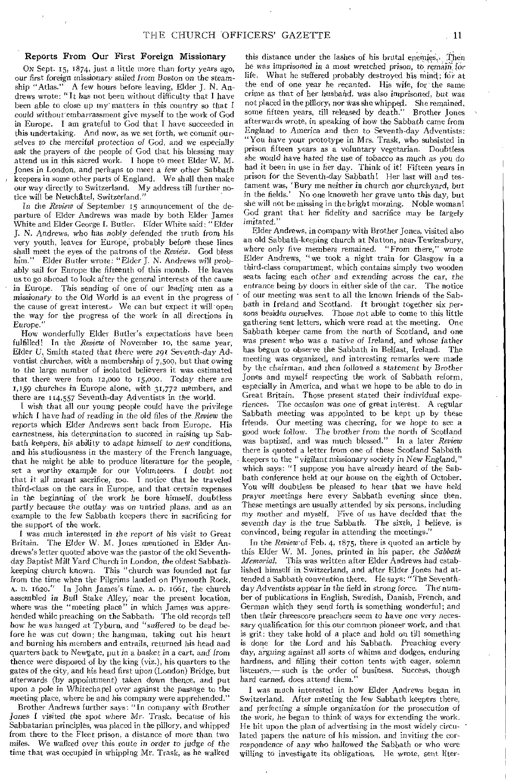#### Reports From Our First Foreign Missionary

Ox Sept. 15, 1874, just a little more than forty years ago, our first foreign missionary sailed from Boston on the *steam*-<br>ship "Atlas." A few hours before leaving, Elder J. N. An-A few hours before leaving, Elder J. N. Andrews wrote: "It has not been without difficulty that I have been able to close up my matters in this country so that I could without embarrassment give myself to the work of God in Europe. I am grateful to God that I have succeeded in this undertaking. And now, as we set forth, we commit ourselves to the *merciful* protection *of* God, and we especially ask the prayers of the people of God that his blessing may attend us in this sacred work. I hope to meet Elder W. M. Jones in London, and perhaps to meet a few other Sabbath keepers in some other parts of England. We shall then make our way directly to Switzerland. My address till further notice will be Neuchatel, Switzerland."

In the *Review* of September 15 announcement of the departure of Elder Andrews was made by both Elder James White and Elder George I. Butler. Elder White said: "Elder J. N. Andrews, who has nobly defended the truth from his very youth, leaves for Europe, probably before these lines shall meet the eyes of the patrons of the *Review*. God bless him." Elder Butler wrote: "Elder J. N. Andrews will prob-Elder Butler wrote: "Elder J. N. Andrews will probably sail for Europe the fifteenth of this month. He leaves us to go abroad to look after the general interests of the cause in Europe. This sending of one of our leading men as a *missionary* to the Old World is an event in the progress of the cause of great interest. We can but expect it will open the way for the progress of the work in all directions in Europe.

How wonderfully Elder Butler's expectations have been fulfilled! In the *Review* of November io, the same year, Elder U. Smith stated that there were 291 Seventh-day Adventist churches, with a membership of 7,500, but that owing to the large number of isolated believers it was estimated that there were from 12,000 to r5,000. Today there are 1,159 churches in Europe alone, with 31,772 members, and there are 114,557 Seventh-day Adventists in the world.

I wish that all our young people could have the privilege *which* I have had *of* reading in the old files of the *Review* the reports which Elder Andrews sent back from Europe. His earnestness, his determination to succeed in raising up Sabbath keepers, his ability to adapt *himself to new conditions,*  and his studiousness in the mastery of the French language, that he might be able to produce literature for the people, set a worthy example for our Volunteers. I doubt not that it all meant sacrifice, too. I notice that he traveled third-class on the cars in Europe, and that certain expenses in the beginning of the work he bore himself, doubtless partly because the outlay was on untried plans, and as an example to the few Sabbath keepers there in sacrificing for the support of the work.

I was much interested *in* the report *of* his visit to Great The Elder W. M. Jones mentioned in Elder Andrews's letter quoted above was the pastor of the old Seventhday Baptist Mill Yard Church in London, the oldest Sabbathkeeping church known. This "church was founded not far from the time when the Pilgrims landed on Plymouth Rock, A. I). 1620." In John James's time, A. D. 1661, the church assembled in Bull Stake Alley, near the present location, where was the "meeting place" in which James was apprehended while preaching on the Sabbath: The old records tell how he was hanged at Tyburn, and "suffered to be dead before he was cut down; the hangman, taking out his heart and burning his members and entrails, returned his head and quarters back to Newgate, put in a basket in a cart, and from thence were disposed of by the king (viz.), his quarters to the gates of the city, and his head first upon (London) Bridge, but afterwards (by appointment) taken down thence, and put upon a pole in Whitechapel over against the passage to the meeting place, where he and his company were apprehended."

Brother Andrews further says: "In company with Brother Jones I *visited* the spot where Mr. Trask, because of his Sabbatarian principles, was placed in the pillory, and whipped from there to the Fleet prison, a distance of more than two miles. We walked over this route in *order to judge* of the time that was occupied in whipping Mr. Trask, as he walked

this distance under the lashes of his brutal enemies.,. Then he was imprisoned in a most wretched *prison,* to remain\_ (or life. What he suffered probably destroyed his mind; for at the end of one year he recanted. His wife, for the same crime as that of her husband, was also imprisoned, but was not placed in the pillory; nor Was she whipped. She remained, some fifteen years, till released by death." Brother Jones afterwards wrote, in speaking of how the Sabbath came from England to America and then to Seventh-day Adventists: "You have your prototype in Mrs. Trask, who subsisted in prison fifteen years as a voluntary vegetarian. Doubtless she would have hated the use *of tobacco* as much *as* you do had it been in use in her day. Think of it! Fifteen years in prison for the Seventh-day Sabbath! Her last will and testament was, 'Bury me neither in church nor churchyard, *but*  in the fields.' No one knoweth her grave unto this day, but she will not be missing in the bright morning. Noble woman! God grant that her fidelity and sacrifice may be largely imitated."

Elder Andrews, in company with Brother Jones, visited also an old Sabbath-keeping church at Natton, near•Tewkesbury, where only *five members* remained. "From there," wrote Elder Andrews, "we took a night train for Glasgow in a third-class compartment, which contains simply two wooden seats facing each other and extending across the car, the entrance being by doors in either side of the car. The notice of our meeting was sent to all the known friends of the Sabbath in Ireland and Scotland. It brought together six persons besides ourselves. Those not able to come to this little gathering sent letters, which were read at the meeting. One Sabbath keeper came from the north of Scotland, and one was present who was a *native of* Ireland, and whose father has begun to observe the Sabbath in Belfast, Ireland. The meeting was organized, and interesting remarks were made by the chairman, and then followed a statement by Brother Jones and myself respecting the work of Sabbath reform, especially in America, and what we hope to be able to do in Great Britain. Those present stated their individual experiences. The occasion was one of great interest. A regular Sabbath meeting was appointed to be kept up by these friends. Our meeting was cheering, for we hope to see a Our meeting was cheering, for we hope to see a good *work* follow. The brother from the north of Scotland was baptized, and was much blessed." In a later *Review*  there is quoted a letter from one of these Scotland Sabbath keepers to the "vigilant missionary society in New England," which says: "I suppose you have already heard of the Sabbath conference held at our house on the eighth of October. You will doubtless be pleased to hear that we have held prayer meetings here every Sabbath evening since then. These meetings are usually attended by six persons, including my mother and myself. Five of us have decided that the seventh day *is* the true Sabbath. The sixth, I believe, is convinced, being regular in attending the meetings.'

In the *Review* of Feb. 4, 1875, there is quoted an article by this Elder W. M. Jones, printed in his paper, the *Sabbath Memorial.* This was written after Elder Andrews had established himself in Switzerland, and after Elder Jones had attended a Sabbath convention there. He says: "The Seventhday Adventists appear in the field in *strong* force. The number of publications in English, Swedish, Danish, French, and German which they send forth is something wonderful; and then their threescore preachers seem to have one very necessary qualification for this our common pioneer work, and that is grit: they take hold of a place and hold on till something is done for the Lord and his Sabbath. Preaching every day, *arguing* against all sorts of whims and dodges, enduring hardness, and filling their cotton tents with eager, solemn listeners,— such is the order of business. Success, though hard earned, does attend them."

I was much interested in how Elder Andrews began in Switzerland. After meeting the few Sabbath keepers there, and perfecting a simple organization for the prosecution of the work, he began to think of ways for extending the work. He hit upon the plan of advertising in the most widely circulated papers the nature of his mission, and inviting the correspondence of any who hallowed the Sabbath or who were willing to investigate its obligations. He wrote, sent liter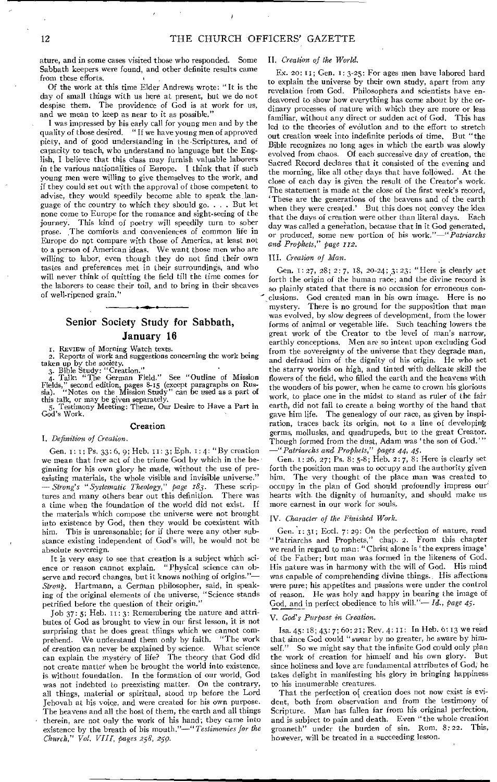ature, and in some cases visited those who responded. Some Sabbath keepers were found, and other definite results came from these efforts.

Of the work at this time Elder Andrews wrote: "It is the day of small things with us here at present, but we do not despise them. The providence of God is at work for us, and we mean to keep as near to it as possible."

I was impressed by his early call for young men and by the quality of those desired. " If we have young men of approved piety, and of good understanding in the. Scriptures, and of capacity to teach, who understand no language but the English, I believe that this class may furnish valuable laborers in the various nationalities of Europe. I think that if such young men were willing to give themselves to the work, and if they could set out with the approval of those competent to advise, they would speedily become able to speak the language of the country to which they should go. . . . But let none come to Europe for the romance and sight-seeing of the journey. This kind of poetry will speedily turn to sober prose. The comforts and conveniences of common life in Europe do not compare with those of America, at least not to a person of American ideas. We want those men who are willing to labor, even though they do not find their own tastes and preferences met in their surroundings, and who will never think of quitting the field till the time comes for the laborers to cease their toil, and to bring in their sheaves of well-ripened grain."

#### Senior Society Study for Sabbath, January 16

I. REVIEW of Morning Watch texts.

2. Reports of work and suggestions concerning the work being taken up by the society. 3. Bible Study: "Creation."

4. Talk: "The German Field." See "Outline of Mission Fields," second edition, pages 8-15 (except paragraphs on Rus-sia). "Notes on the Mission Study" can be used as a part of this talk, or may be given separately.

5. Testimony Meeting: Theme, Our Desire to Have a Part in God's Work.

#### Creation

#### *I. Definition of Creation.*

Gen. 1: 1; Ps. 33: 6, 9; Heb. 11: 3; Eph. 1: 4: "By creation we mean that free act of the triune God by which in the beginning for his own glory he made, without the use of preexisting materials, the whole visible and invisible universe." *— Strong's "Systematic Theology," page 183.* These scriptures and many others bear out this definition. There was a time when the foundation of the world did not exist. If the materials which compose the universe were not brought into existence by God, then they would be coexistent with him. This is unreasonable; for if there were any other substance existing independent of God's will, he would not be absolute sovereign.

It is very easy to see that creation is a subject which science or reason cannot explain. "Physical science can observe and record changes, but it knows nothing of origins."-*Strong.* Hartmann, a German philosopher, said, in speaking of the original elements of the universe, "Science stands petrified before the question of their origin."

Job 37:5; Heb. 11:3: Remembering the nature and attributes of God as brought to view in our first lesson, it is not surprising that he does great things which we cannot com-<br>prehend. We understand them only by faith. "The work prehend. We understand them only by faith. of creation can never be explained by science. What science can explain the mystery of life? The theory that God did not create matter when he brought the world into existence, is without foundation. In the formation of our world, God was not indebted to preexisting matter. On the contrary, all things, material or spiritual, stood up before the Lord Jehovah at his voice, and were created for his own purpose. The heavens and all the host of them, the earth and all things therein, are not only the work of his hand; they came into existence by the breath of his mouth."—" *Testimonies for the Church," Vol. VIII, pages 258, 259.* 

#### *II. Creation of the World.*

Ex. 2o: It; Gen. I: 3-25: For ages men have labored hard to explain the universe by their own study, apart from any revelation from God. Philosophers and scientists have endeavored to show how everything has come about by the ordinary processes of nature with which they are more or less familiar, without any direct or sudden act of God. This has led to the theories of evolution and to the effort to stretch out creation week into indefinite periods of time. But "the Bible recognizes no long ages in which the earth was slowly evolved from chaos. Of each successive day of creation, the Sacred Record declares that it consisted of the evening and the morning, like all other days that have followed. At the close of each day is given the result of the Creator's work. The statement is made at the close of the first week's record, 'These are the generations of the heavens and of the earth when they were created.' But this does not convey the idea that the days of creation were other than literal days. Each day was called a generation, because that in it God generated,<br>or produced, some new portion of his work."—"Patriarchs or produced, some new portion of his work."*and Prophets," page 112.* 

#### *III. Creation of Man.*

Gen. 1:27, 28; 2:7, 18, 20-24; 3:23: "Here is clearly set forth the origin of the human race; and the divine record is so plainly stated that there is no occasion for erroneous con-<br>clusions. God created man in his own image. Here is no God created man in his own image. Here is no mystery. There is no ground for the supposition that man was evolved, by slow degrees of development, from the lower forms of animal or vegetable life. Such teaching lowers the great work of the Creator to the level of man's narrow, earthly conceptions. Men are so intent upon excluding God from the sovereignty of the universe that they degrade man, and defraud him of the dignity of his origin. He who set the starry worlds on high, and tinted with delicate skill the flowers of the field, who filled the earth and the heavens with the wonders of his power, when he came to crown his glorious work, to place one in the midst to stand as ruler of the fair earth, did not fail to create a being worthy of the hand that gave him life. The genealogy of our race, as given by inspiration, traces back its origin, not to a line of developing germs, mollusks, and quadrupeds, but to the great Creator. Though formed from the dust, Adam was 'the son of God.'" *—"Patriarchs and Prophets," pages 44, 45.* 

Gen. 1:26, 27; Ps. 8: 5-8; Heb. 2: 7, 8: Here is clearly set forth the position man was to occupy and the authority given him. The very thought of the place man was created to occupy in the plan of God should profoundly impress our' hearts with the dignity of humanity, and should make us more earnest in our work for souls,

#### *IV. Character of the Finished Work.*

Gen.  $i: 3i$ ; Eccl. 7:29: On the perfection of nature, read "Patriarchs and Prophets," chap. 2. From this chapter we read in regard to man: "Christ alone is 'the express image' of the Father; but man was formed in the likeness of God. His nature was in harmony with the will of God. His mind was capable of comprehending divine things. His affections were pure; his appetites and passions were under the control of reason. He was holy and happy in bearing the image of God, and in perfect obedience to his will."— *Id., page 45.* 

#### *V. God's Purpose in Creation.*

Isa. 45: 18; 43: 7; 60: 21; Rev. 4: 11: In Heb. 6: 13 we read that since God could "swear by no greater, he sware by himself." So we might say that the infinite God could only plan<br>the work of creation for himself and his own glory. But the work of creation for himself and his own glory. since holiness and love are fundamental attributes of God, he takes delight in manifesting his glory in bringing happiness to his innumerable creatures.

That the perfection of creation does not now exist is evident, both from observation and from the testimony of Scripture. Man has fallen far from his original perfection, and is subject to pain and death. Even "the whole creation groaneth" under the burden of sin. Rom. 8:22. This, under the burden of sin. Rom. 8:22. however, will be treated in a succeeding lesson.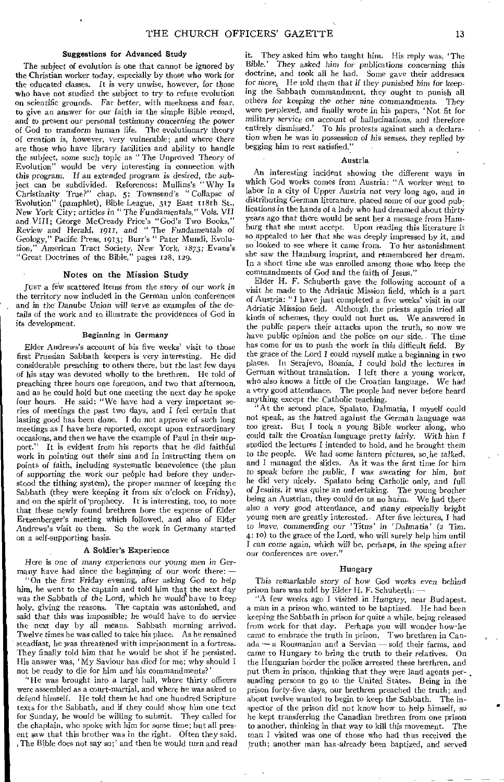#### **Suggestions for Advanced Study**

The subject of evolution is one that cannot be ignored by the Christian worker today, especially by those who work for the educated classes. It is very unwise, however, for those who have not studied the subject to try to refute evolution on scientific grounds. Far better, with meekness and fear, to give an answer for our faith in the simple Bible record, and to present our personal testimony concerning the power of God to transform human life. The evolutionary theory of creation is, however, very vulnerable; and where there are those who have library facilities and ability to handle the subject, some such topic as " The Unproved Theory of Evolution" would be very interesting in connection with this program. *If* an extended program is desired, the subject can be subdivided. References: Mullins's " Why Is Christianity True?" chap. 5; Townsend's *" Collapse of*  'Evolution" (pamphlet), Bible League, 317 East 118th St., New York City; articles in " The Fundamentals," Vols. VII and VIII; George McCready Price's "God's Two Books," Review and *Herald,* rqm, *and "* The Fundamentals of Geology," Pacific Press, 1913; Burr's " Pater Mundi, Evolution," *American* Tract Society, *New* York, 1873; Evans's "Great Doctrines of the Bible," pages 128, 129.

#### **Notes on the Mission Study**

Just a few scattered items from the story of our work in the territory now included in the German union conferences and in the Danube Union will serve as examples of the details of the work and to illustrate the providences of God in its development.

#### **Beginning in Germany**

Elder Andrews's account of his five weeks' visit to those first Prussian Sabbath keepers is very interesting. He did considerable preaching to others there, but the last few days of his stay was devoted wholly to the brethren. He told of preaching three hours one forenoon, and two that afternoon, and as he could hold but one meeting the next day he spoke four hours. He said: "We have had a very important series of meetings the past two days, and I feel certain that lasting good has been done. **I** do not approve of such long meetings as I have here reported, except upon extraordinary occasions, and then we have the example of Paul in their support." It is evident from his reports that he did faithful work in pointing out their sins and in instructing them on points of faith, including systematic benevolence (the plan of supporting the work our people had before they understood the tithing system), the proper manner of keeping the Sabbath (they were keeping it from six o'clock on Friday), and on the spirit of prophecy. It is interesting, too, to note that these newly found brethren bore the expense of Elder Ertzenberger's meeting which followed, and also of Elder Andrews's visit to them. So the work in Germany started on a self-supporting basis.

#### A **Soldier's Experience**

Here is one *of many* experiences *our young men in* Germany have had since the beginning of our work there:

"On the *first* Friday *evening, after asking* God to help him, he went to the captain and told him that the next day *was* the Sabbath *of* the Lord, which he would%have to keep holy, giving the reasons. The captain was astonished, and said that this was impossible; he would have to do service the next day by all means. Sabbath morning arrived. Twelve times he was called to take his place. As he remained steadfast, he was threatened with imprisonment in a fortress. They finally told him that he would be shot if he persisted. His answer was, 'My Saviour has died for me; why should I not be ready to die for him and his commandments?'

"He was brought into a large hall, where thirty officers were assembled as a court-martial, and where he was asked to defend himself. He told them he had one hundred Scripture texts for the Sabbath, and if they could show him one text for Sunday, he would be willing to submit. They called for the chaplain, who spoke with him for some time; but all present saw that this brother was in the right. Often they said, , The Bible does not say so;' and then he would turn and read it. They asked him who taught him. His reply was, 'The *Bible.'* 'They asked him *for* publications *concerning* this doctrine, and took **all** he had. Some gave their addresses for *More.* He told them that if they punished him *for* keeping the Sabbath commandment, they ought to punish all others for keeping the other nine *commandments.* They were perplexed, and finally wrote in his papers, 'Not fit for military service on account of hallucinations, and therefore entirely dismissed.' To his protests against such a declaration when he was in possession of his senses, they replied by begging him to rest satisfied."

#### **Austria**

An interesting incident showing the different ways in which God works comes from Austria: "A worker went to labor in a city of Upper Austria not very long ago, and in distributing German literature, placed some of our good publications in the hands of a lady who had dreamed about thirty years ago that there would be sent her a message from Hamburg that she must accept. Upon reading this literature it so appealed to her that she was deeply impressed by it, and so looked to see where it came from. To her astonishment she saw the Hamburg imprint, and remembered her dream. In a short time she was enrolled among those who keep the commandments of God and the faith of Jesus."

Elder H. F. Schuberth gave the following account of a visit he made to the Adriatic Mission field, which is a part of Austria: "I have just completed a five weeks' visit in our Adriatic Mission field. Although, the priests again tried all kinds of schemes, they could not hurt us. We answered in the public papers their attacks upon the truth, so now we have public opinion and the police on our side. The time has come for us to push the work in this difficult field. By the grace of the Lord I could myself make a beginning in two places. In Serajevo, Bosnia, I could hold the lectures in German without translation. I left there a young worker, who also knows a little of the Croatian language. We had a very good attendance. The people had never before heard anything except the Catholic teaching.

"At the second place, Spalato, Dalmatia, I myself could not speak, as the hatred against the German language was too great. But I took a young Bible worker along, who could talk the Croatian language pretty fairly. With him I studied the lectures I intended to hold, and he brought them to the people. We had some lantern pictures, so.he talked, and I managed the slides. As it was the first time for him to speak before the public, I was sweating for him, but he did very nicely. Spalato being Catholic only, and full *of* Jesuits, it was *quite* an undertaking. The *young* brother being an Austrian, they could do us no harm. We had there also a *very good attendance, and* many especially bright young men are greatly interested.- After five lectures, I had to leave, *commending our 'Titus' in 'Dalmatia'* (2 Tim. 4: to) to the grace of the Lord, who will surely help him until I *can come again,* which will be, perhaps, in the *spring* after our conferences are over."

#### **Hungary**

This remarkable story of how God works *even* behind prison bars was told by Elder H. F. Schuberth: —

"A few weeks ago I visited in Hungary, near Budapest, a man in a prison who,wanted to be baptized. He had been keeping the Sabbath in prison for quite a while, being, released from work for that day. Perhaps you will wonder how•he came to embrace the truth in prison. Two brethren in Canada — a Roumanian and a Servian — sold their farms, and came to Hungary to bring the truth to their relatives. On the Hungarian border the police arrested these brethren, and put them in prison, thinking that they were land agents persuading persons to go to the United States. Being in the prison forty-five days, our brethren preached the truth; and about twelve wanted to begin to keep the Sabbath. The inspector of the prison did not know how to help himself, so he kept transferring the Canadian brethren from one prison to another, thinking in that way to **kill** this movement. The man I visited was one of those who had thus received the truth; another man has-already been baptized, and served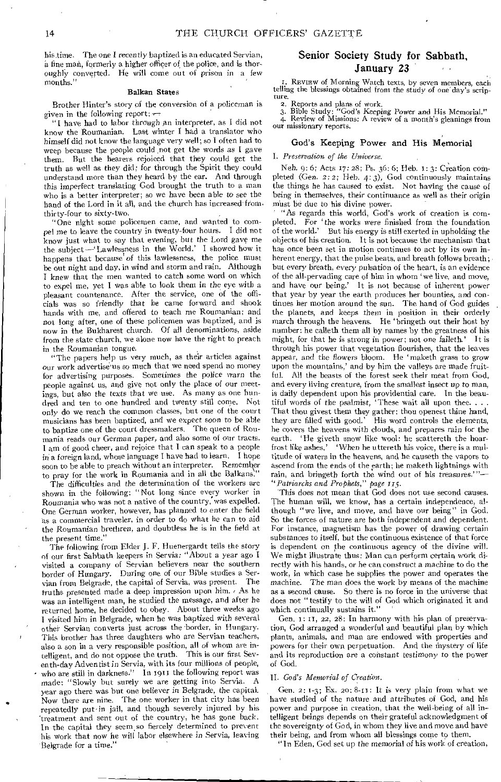his time. The one I recently baptized is an educated Servian, a finemah, formerly a higher officer of the police, and is thoroughly converted. He will come out of prison in a few months."

#### Balkan States

Brother Hinter's story of the conversion of a policeman is given in the following report;  $\tau$ 

"I have had to labor through an interpreter, as I did not know the Roumanian. Last winter I had a translator who himself did not know the language very well; so I often had to weep because the people could .not get the words as I gave them. But the hearers rejoiced that they could get the truth as well as they did; for through the Spirit they could understand more than they heard by the ear. And through this imperfect translating God brought the truth to a man who is a better interpreter; so we have been able to see the hand of the Lord in it all, and the church has increased from; thirty-four to sixty-two.

"One night some policemen came, and wanted to compel me to leave the country in twenty-four hours. I did not know just what to say that evening, but the Lord gave me the subject Lawlessness in the World.' I showed how it happens that because of this lawlessness, the police must be out night and day, in wind and storm and rain. Although I knew that the men wanted to catch some word on which to expel me, yet I was able to look them in the eye with a pleasant countenance. After the service, one of the officials was so friendly that he came forward and shook hands with me, and offered to teach me Roumanian; and not long after, one of these policemen was baptized, and is now in the Bukharest church. Of all denominations, aside from the state church, we alone now have the right to preach in the Roumanian tongue.

"The papers help us very much, as their articles against our work advertise'us so much that we need spend no money for advertising purposes. Sometimes the police warn the people against us, and give not only the place of our meetings, but also the texts that we use. As many as one hun-<br>dred and ten to one hundred and twenty still come. Not dred and ten to one hundred and twenty still come. only do we reach the common classes, but one of the court musicians has been baptized, and we expect *soon* to be able to baptize one of the court dressmakers. The queen of Roumania reads our German paper, and also some of our tracts. I am of good cheer, and rejoice that I can speak to a people in a foreign land, whose language I have had to learn. I hope soon to be able to preach without an interpreter. Remember to pray for the work in Roumania and in all the Balkans.

The difficulties and the determination of the workers are shown in the following: "Not long since every worker in Roumania who was not a native of the country, was expelled. One German worker, however, has planned to enter the field as a commercial traveler, in order to do what he can to aid the Roumanian brethren, and doubtless he is in the field at the present time."

The following from Elder J. F. Huenergardt tells the story of our first Sabbath keepers in Servia: "About a year ago I visited a company of Servian believers near the southern border of Hungary. During one of our Bible studies a Servian from Belgrade, the capital of Servia, was present. truths presented made a deep impression upon him. / As he was an intelligent man, he studied the message, and after he returned home, he decided to obey. About three weeks ago I visited him in Belgrade, when he was baptized with several other Servian converts just across the border, in Hungary. This brother has three daughters who are Servian teachers, also a son in a very responsible position, all *of* whom are intelligent, and do not oppose the truth. This is our first Seventh-thy Adventist in Servia, with its four millions of people, who are still in darkness." In 191t the following report was made: "Slowly but surely we are getting into Servia. A year ago there was but one believer in Belgrade, the capital. Now there are nine. The one worker in that city has been repeatedly put *in* jail, and though severely injured by his 'treatment and sent out of the country, he has gone back. In the capital they seem, so fiercely determined to prevent his work that now he will labor elsewhere in Servia, leaving Belgrade for a time."

#### Senior Society Study for Sabbath, January 23

I. REVIEW of Morning Watch texts, by seven members, each telling the blessings obtained from the study of one day's scripture.

2. Reports and plans of work. 3. Bible Study: "God's Keeping *Power* and His Memorial." 4. Review of Missions: A review of a month's gleanings from our missionary reports.

#### God's Keeping Power and His Memorial

#### *I. Preservation of the Universe.*

*Neh.* 9: 6; Acts 17: 28; Ps. 36: 6; Heb. I: 3: Creation COMpleted (Gen. 2:2; Heb. 4:3), God continuously maintains the things he has caused to exist. Not having the cause of being in themselves, their continuance as well as their origin must be due to his divine power.

"As regards this world, God's work of creation is completed. For 'the works were finished from the foundation of the world.' But his energy is still exerted in upholding the objects of his creation. It is not because the mechanism that has once been set in motion continues to act by its own inherent energy, that the pulse beats, and breath follows breath; but every breath, every pulsation of the heart, is an evidence of the all-pervading care of him in whom 'we live, and move, and have our being,' It is not because of inherent power that year by year the earth produces her bounties, and continues her motion around the sun. The hand of God guides the planets, and keeps them in position in their orderly march through the heavens. He 'bringeth out their host by number: he calleth them all by names by the greatness of his might, for that he is strong in power; not one faileth.' It is through his power that vegetation flourishes, that the leaves appear, and the flowers bloom. He 'maketh grass to grow upon the mountains,' and by him the valleys are made fruitful. All the beasts of the forest seek their meat from God, and every living creature, from the smallest insect up to man, is daily dependent upon his providential care. In the beautiful words of the psalmist, 'These wait all upon thee.... That thou givest them they gather: thou openest thine hand, they are filled with good.' His word controls the elements, he covers the heavens with clouds, and prepares rain for the earth. 'He giveth snow like wool: he scattereth the hoarfrost like ashes.' When he uttereth his voice, there is a multitude of waters in the heavens, and he causeth the vapors to ascend from the ends of the earth; he maketh lightnings with rain, and bringeth forth the wind out of his treasures." *"Patriarchs and Prophets," page r15.* 

*'This* does not mean that God does not use second causes. The human will, we know, has a certain independence, although "we live, and move, and have our being" in God. So the forces of nature are both independent and dependent. For instance, magnetism has the power of drawing certain substances to itself, but the continuous existence of that force is dependent on the continuous agency of the divine will. We might illustrate thus: Man can perform certain work directly with his hands, or he can construct a machine to do the work, in which case he supplies the power and operates the machine. The man does the work by means of the machine as a second cause. So there is no force in the universe that does not "testify to the will of God which originated it and which continually sustains it."

Gen.  $1: 11, 22, 28:$  In harmony with his plan of preservation, God arranged a wonderful and beautiful plan by which plants, animals, and man are endowed with properties and powers for their own perpetuation. And the mystery of life and its reproduction are a constant testimony to the power of God.

#### *II. God's Memorial of Creation.*

Gen. 2: 1-3; Ex. 20: 8-11: It is very plain from what we have studied of the nature and attributes of God, and his power and purpose in creation, that the well-being of all intelligent beings depends on their grateful acknowledgment of the sovereignty of God, in whom they live and move and have their being, and from whom all blessings come to them.

"In Eden, God set up the memorial of his work of creation,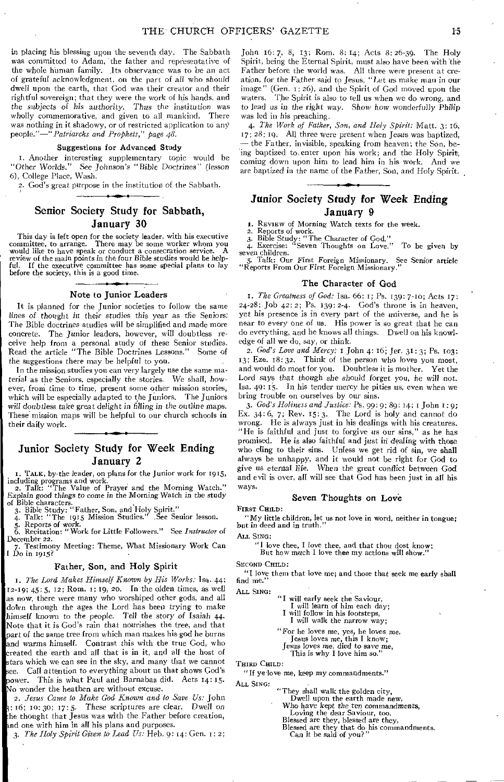in placing his blessing upon the seventh day. The Sabbath was committed to Adam, the father and representative of the whole human family. Its observance was to be an act of grateful acknowledgment, on the part of all who should dwell upon the earth, that God was their creator and their rightful sovereign; that they were the work of his hands, and the subjects *of his authority.* Thus the *institution* was wholly commemorative, and given to all mankind. There was nothing in it shadowy, or of restricted application to any *people."—"Patriarchs and Prophets," page 48.* 

#### Suggestions for Advanced Study

I. Another interesting supplementary topic would be "Other Worlds." See *Johnson's "* Bible Doctrines" *(lesson*  6), College Place, Wash.

2. God's great purpose in the institution of the Sabbath.

#### Senior Society Study for Sabbath, January 30

This day is left open for the society leader, with his executive committee, to arrange. There may be some worker whom you would like to have speak or conduct a consecration service. A review of the main points in the four Bible studies would be helpful. If the executive committee has some special plans to lay before the society, this is a good time.

#### Note to Junior Leaders

It is planned for the Junior societies to follow the same *lines of thought in* their studies this year as the Seniors: The Bible doctrines studies will be simplified and made more concrete. The Junior leaders, however, will doubtless receive help from a personal study of these Senior studies. Read the article "The Bible Doctrines Lessons." Some of the suggestions there may be helpful to you.

In the mission studies you can very largely use the same material as the Seniors, especially the stories. We shall, however, from time to time, present some other mission stories, which will be especially adapted to the Juniors. The Juniors *will doubtless* take *great* delight *in* filling in the *outline maps.*  These mission maps will be helpful to our church schools in their daily work.

#### Junior Society Study for Week Ending January 2

I. TALK, by the leader, on plans for the Junior work for 1915, including programs and work. 2. Talk: "The Value of Prayer and the Morning Watch."

*Explain good things to come in* the Morning Watch in the study

of Bible Study: "Father, Son, and Holy Spirit."<br>
3. Bible Study: "Father, Son, and Holy Spirit."<br>
4. Talk: "The 1915 Mission Studies." See Senior lesson.<br>
5. Reports of work.<br>
6. Recitation: "Work for Little Followers." Se December 22.

7. Testimony Meeting: Theme, What Missionary Work Can I Do in 1915?

#### Father, Son, and Holy Spirit

*1. The Lord Makes Himself Known by His Works:* Isa. 44: 12-19; 45: 5, 12; Rom. 1: 19, 20. In the olden times, as well as now, there were many who worshiped other gods, and all dotvn through the ages the Lord has been trying to make himself known to the people. Tell the *story of* Isaiah 44. Note that it is God's rain that nourishes the tree, and that part of the same tree from which man makes his god he burns and warms himself. Contrast this with the true God, who created the earth and all that is in it, and all the host of tars which we can see in the sky, and many that we cannot see. Call attention to everything about us that shows God's power. This is what Paul and Barnabas did. Acts 14: 15. No wonder the heathen are without excuse.

*2. Jesus Came to Make God Known and to Save Us:* John  $3: 16; 10:30; 17:5.$  These scriptures are clear. Dwell on he thought that Jesus was with the Father before creation, and one with him in all his plans and purposes.

*3. The Holy Spirit Given to Lead Us:* Heb, 9: 14: Gen. is 2;

John 16: 7, 8, 13; Rom. 8: 14; Acts 8: 26-39. The Holy Spirit, being the Eternal Spirit, must also have been with the Father before the world was. All three were present at creation, for the Father said to Jesus, "Let us make man in our image" (Gen. 1:26), and the Spirit of God moved upon the waters. The Spirit is also to tell us when we do wrong, and to lead *us* in the right way. Show how wonderfully Philip was led in his preaching.

*4. The Work of Father, Son, and Holy Spirit:* Matt. 3: i6, 17; 28: 19. All three were present when Jesus was baptized, --- the Father, invisible, speaking from heaven; the Son, being baptized to enter upon his work; and the Holy Spirit, coming down upon him to lead him in his work. And we are baptized in the name of the Father, Son, and Holy Spirit.

#### Junior Society Study for Week Ending January 9

I. REVIEW of Morning Watch texts for the week.

2. Reports of work.<br>3. Bible Study: "The Character of God."<br>4. Exercise: "Seven Thoughts on Love." To be given by 4. Exercise:<br>seven children.

5. Talk: Our First Foreign Missionary. See Senior article "Reports From Our First Foreign Missionary."

#### The Character of God

I. *The Greatness of God:* Isa. 66:1; Ps. 139: 7-10; Acts 17: 24-28; Job 42:2; Ps. 139: 2-4. God's throne is in heaven, yet his presence is in every part of the universe, and he is near to every one of us. His power is so great that he can do everything, and he knows all things. Dwell on his knowledge of all we do, say, or think.

*2. God's Love and Mercy: I* John 4: 16; Jer. 31:3; Ps. 103: 13; Eze. 18: 32. Think of the person who loves you most, and would do most for you. Doubtless it is mother. Yet the Lord says that though she should *forget* you, he will not. Isa. 49: 15. In his tender mercy he pities us, even when we bring trouble on ourselves by our sins.

*3. God's Holiness and Justice: Ps.* 99:9: 89: 14; I John 1: 9; Ex. 34: 6, 7; Rev. 15:3. The Lord is holy and cannot do wrong. He is always just in his dealings with his creatures. "He is faithful and just to forgive us our sins," as he has promised. He is also faithful and just in dealing with those who cling to their sins. Unless we get rid of sin, we shall always be unhappy, and it would not be right for God to give us eternal life. When the great conflict between God and evil is over, all will see that God has been just in all his ways.

#### Seven Thoughts on Love

FIRST CHILD:

"My little children, let us not love in word, neither in tongue; but in deed and in truth."

ALL SING:

"I love thee, I love thee, and that thou dost know; But how much I love thee my actions will show."

SECOND CHILD:

"I love them that love me; and those that seek me early shall find me."

ALL SING:

- 
- "I will early seek the Saviour, I will learn of him each day; I will follow in his footsteps,
	- I will walk the narrow way;

"For he loves me, yes, he loves me, Jesus loves me, this I know;

Jesus loves me, died to save me, This is why I love him so."

THIRD CHILD:

"If ye love me, keep my commandments."

ALL SING:

- "They shall walk the golden city,
	- Dwell upon the earth made new,
- ' Who have kept the ten *commandments,*  Loving the dear Saviour, too. Blessed are they, blessed are they,
	-
	-
	- Blessed are they that do his commandments. Can it be said of you?